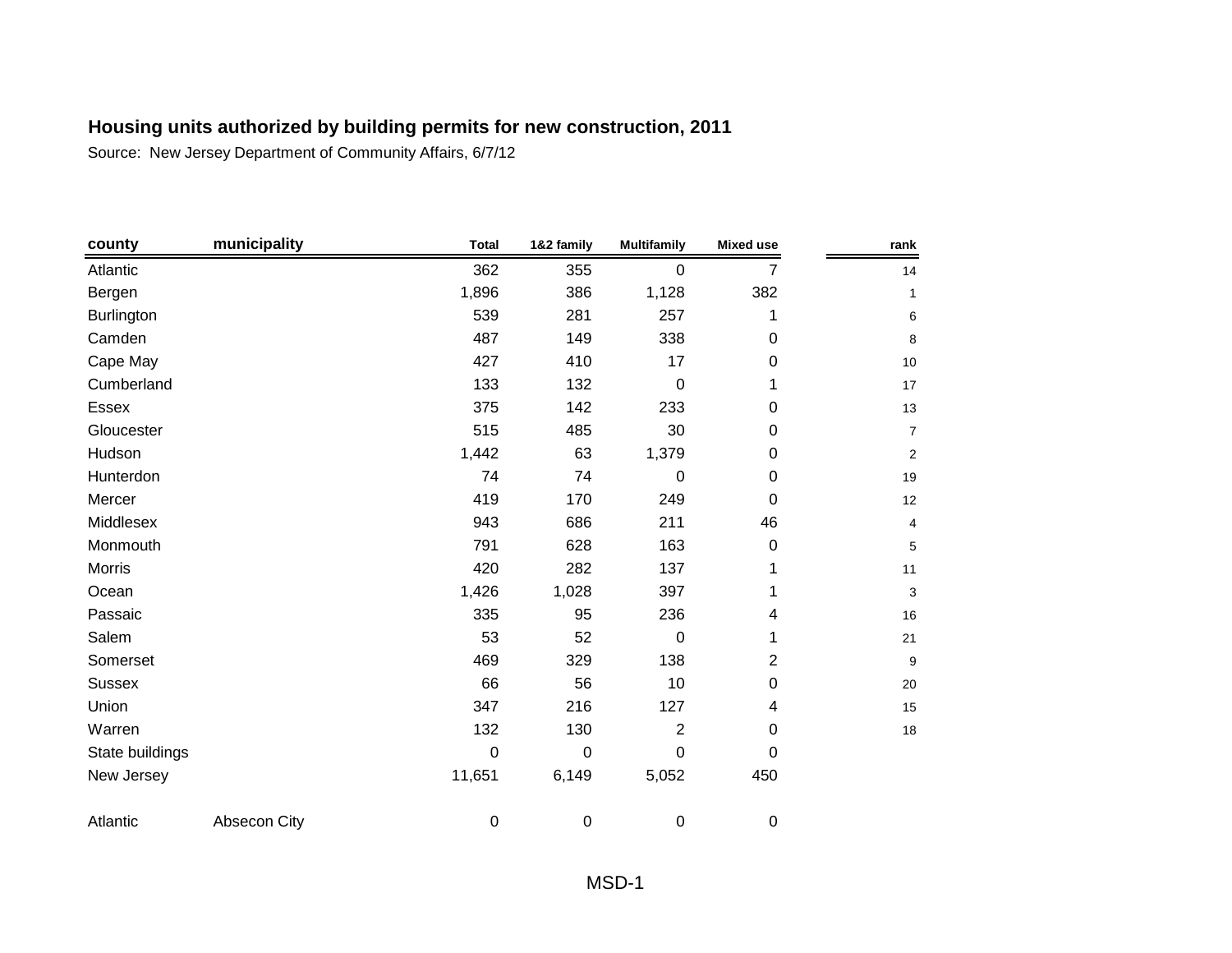| county          | municipality | <b>Total</b>     | 1&2 family | <b>Multifamily</b> | <b>Mixed use</b> | rank           |
|-----------------|--------------|------------------|------------|--------------------|------------------|----------------|
| Atlantic        |              | 362              | 355        | 0                  | 7                | 14             |
| Bergen          |              | 1,896            | 386        | 1,128              | 382              | $\mathbf 1$    |
| Burlington      |              | 539              | 281        | 257                | 1                | 6              |
| Camden          |              | 487              | 149        | 338                | 0                | 8              |
| Cape May        |              | 427              | 410        | 17                 | 0                | 10             |
| Cumberland      |              | 133              | 132        | $\mathbf 0$        | 1                | 17             |
| Essex           |              | 375              | 142        | 233                | 0                | 13             |
| Gloucester      |              | 515              | 485        | 30                 | 0                | $\overline{7}$ |
| Hudson          |              | 1,442            | 63         | 1,379              | 0                | $\overline{2}$ |
| Hunterdon       |              | 74               | 74         | 0                  | 0                | 19             |
| Mercer          |              | 419              | 170        | 249                | 0                | 12             |
| Middlesex       |              | 943              | 686        | 211                | 46               | 4              |
| Monmouth        |              | 791              | 628        | 163                | 0                | 5              |
| Morris          |              | 420              | 282        | 137                | 1                | 11             |
| Ocean           |              | 1,426            | 1,028      | 397                | 1                | 3              |
| Passaic         |              | 335              | 95         | 236                | 4                | 16             |
| Salem           |              | 53               | 52         | 0                  | 1                | 21             |
| Somerset        |              | 469              | 329        | 138                | $\overline{2}$   | 9              |
| <b>Sussex</b>   |              | 66               | 56         | 10                 | 0                | 20             |
| Union           |              | 347              | 216        | 127                | 4                | 15             |
| Warren          |              | 132              | 130        | $\overline{2}$     | 0                | 18             |
| State buildings |              | $\mathbf 0$      | $\pmb{0}$  | 0                  | 0                |                |
| New Jersey      |              | 11,651           | 6,149      | 5,052              | 450              |                |
| Atlantic        | Absecon City | $\boldsymbol{0}$ | $\pmb{0}$  | 0                  | $\pmb{0}$        |                |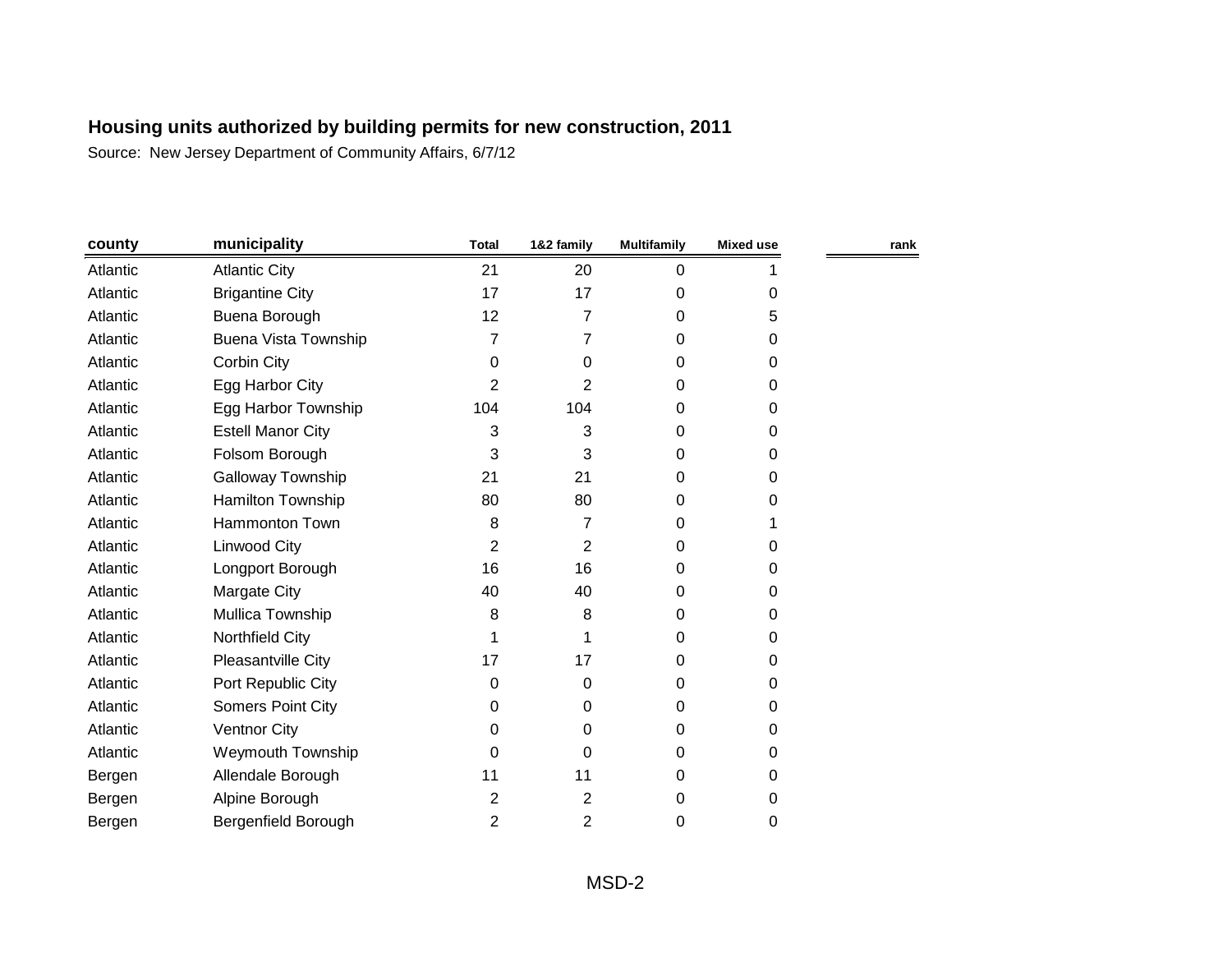| county   | municipality             | <b>Total</b>   | 1&2 family     | <b>Multifamily</b> | <b>Mixed use</b> | rank |
|----------|--------------------------|----------------|----------------|--------------------|------------------|------|
| Atlantic | <b>Atlantic City</b>     | 21             | 20             | 0                  |                  |      |
| Atlantic | <b>Brigantine City</b>   | 17             | 17             | 0                  | 0                |      |
| Atlantic | Buena Borough            | 12             | 7              | 0                  | 5                |      |
| Atlantic | Buena Vista Township     | 7              | 7              | 0                  | $\Omega$         |      |
| Atlantic | Corbin City              | 0              | 0              | 0                  | 0                |      |
| Atlantic | Egg Harbor City          | 2              | 2              | 0                  | 0                |      |
| Atlantic | Egg Harbor Township      | 104            | 104            | 0                  | $\Omega$         |      |
| Atlantic | <b>Estell Manor City</b> | 3              | 3              | 0                  | 0                |      |
| Atlantic | Folsom Borough           | 3              | 3              | 0                  | $\Omega$         |      |
| Atlantic | Galloway Township        | 21             | 21             | 0                  | 0                |      |
| Atlantic | Hamilton Township        | 80             | 80             | 0                  | 0                |      |
| Atlantic | Hammonton Town           | 8              | 7              | 0                  |                  |      |
| Atlantic | Linwood City             | 2              | 2              | 0                  | $\Omega$         |      |
| Atlantic | Longport Borough         | 16             | 16             | 0                  | $\Omega$         |      |
| Atlantic | Margate City             | 40             | 40             | 0                  | $\Omega$         |      |
| Atlantic | Mullica Township         | 8              | 8              | 0                  | $\Omega$         |      |
| Atlantic | Northfield City          | 1              |                | 0                  | 0                |      |
| Atlantic | Pleasantville City       | 17             | 17             | 0                  | $\Omega$         |      |
| Atlantic | Port Republic City       | 0              | 0              | 0                  | 0                |      |
| Atlantic | Somers Point City        | 0              | 0              | 0                  | 0                |      |
| Atlantic | <b>Ventnor City</b>      | 0              | 0              | 0                  | 0                |      |
| Atlantic | Weymouth Township        | 0              | 0              | 0                  | $\Omega$         |      |
| Bergen   | Allendale Borough        | 11             | 11             | 0                  | 0                |      |
| Bergen   | Alpine Borough           | 2              | $\overline{2}$ | 0                  | 0                |      |
| Bergen   | Bergenfield Borough      | $\overline{2}$ | $\overline{2}$ | 0                  | 0                |      |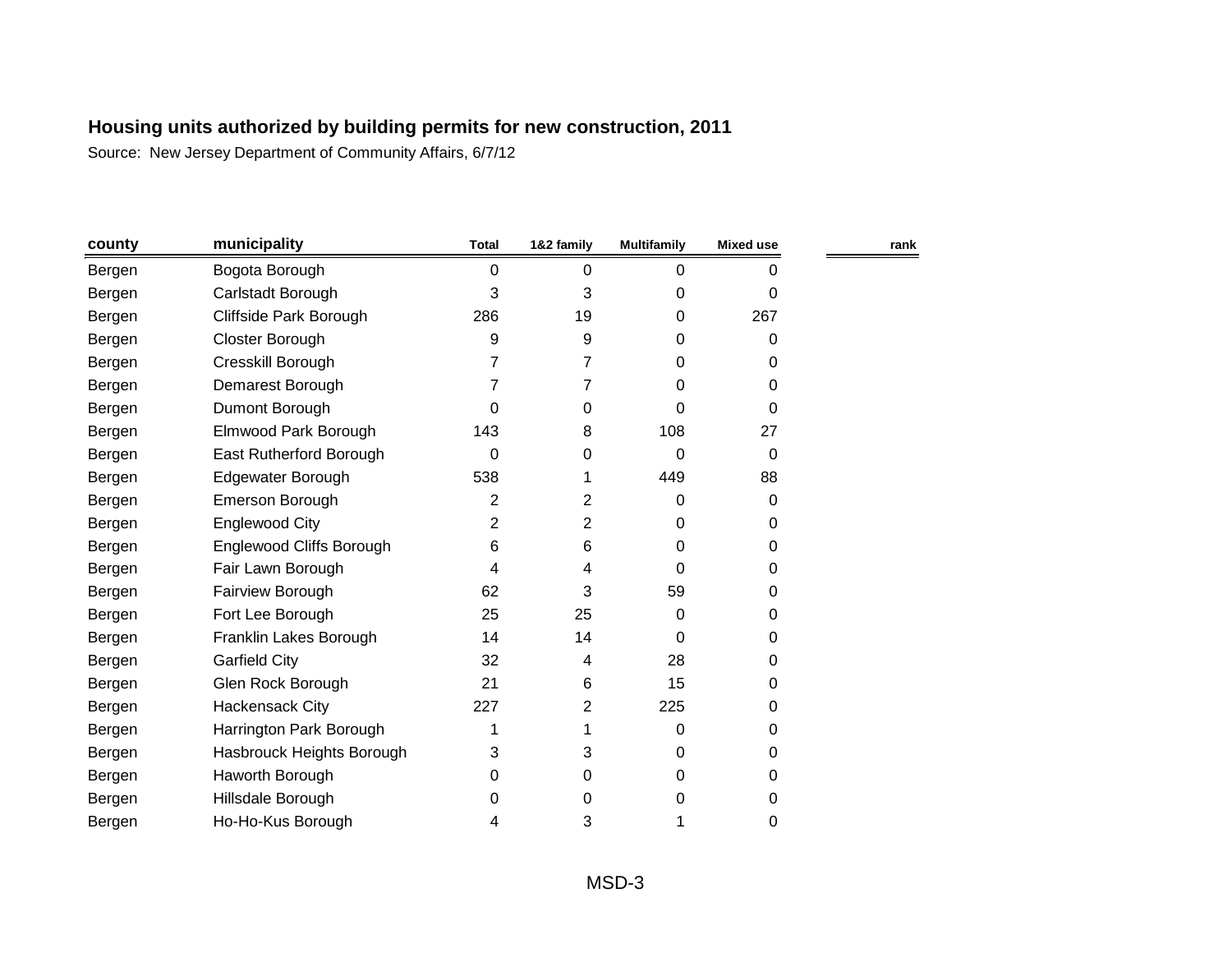| county | municipality                    | <b>Total</b> | 1&2 family     | <b>Multifamily</b> | <b>Mixed use</b> | rank |
|--------|---------------------------------|--------------|----------------|--------------------|------------------|------|
| Bergen | Bogota Borough                  | 0            | 0              | 0                  | 0                |      |
| Bergen | Carlstadt Borough               | 3            | 3              | $\Omega$           | 0                |      |
| Bergen | Cliffside Park Borough          | 286          | 19             | 0                  | 267              |      |
| Bergen | Closter Borough                 | 9            | 9              | $\Omega$           | 0                |      |
| Bergen | Cresskill Borough               | 7            | 7              | 0                  | 0                |      |
| Bergen | Demarest Borough                | 7            | 7              | 0                  | 0                |      |
| Bergen | Dumont Borough                  | 0            | 0              | 0                  | 0                |      |
| Bergen | Elmwood Park Borough            | 143          | 8              | 108                | 27               |      |
| Bergen | East Rutherford Borough         | 0            | 0              | 0                  | 0                |      |
| Bergen | Edgewater Borough               | 538          | 1              | 449                | 88               |      |
| Bergen | Emerson Borough                 | 2            | $\overline{2}$ | 0                  | 0                |      |
| Bergen | Englewood City                  | 2            | $\overline{2}$ | 0                  | 0                |      |
| Bergen | <b>Englewood Cliffs Borough</b> | 6            | 6              | 0                  | 0                |      |
| Bergen | Fair Lawn Borough               | 4            | 4              | 0                  | 0                |      |
| Bergen | Fairview Borough                | 62           | 3              | 59                 | 0                |      |
| Bergen | Fort Lee Borough                | 25           | 25             | $\Omega$           | 0                |      |
| Bergen | Franklin Lakes Borough          | 14           | 14             | 0                  | 0                |      |
| Bergen | <b>Garfield City</b>            | 32           | 4              | 28                 | 0                |      |
| Bergen | Glen Rock Borough               | 21           | 6              | 15                 | 0                |      |
| Bergen | <b>Hackensack City</b>          | 227          | 2              | 225                | 0                |      |
| Bergen | Harrington Park Borough         | 1            | 1              | 0                  | 0                |      |
| Bergen | Hasbrouck Heights Borough       | 3            | 3              | 0                  | 0                |      |
| Bergen | Haworth Borough                 | 0            | 0              | 0                  | 0                |      |
| Bergen | Hillsdale Borough               | 0            | 0              | 0                  | 0                |      |
| Bergen | Ho-Ho-Kus Borough               | 4            | 3              | 1                  | 0                |      |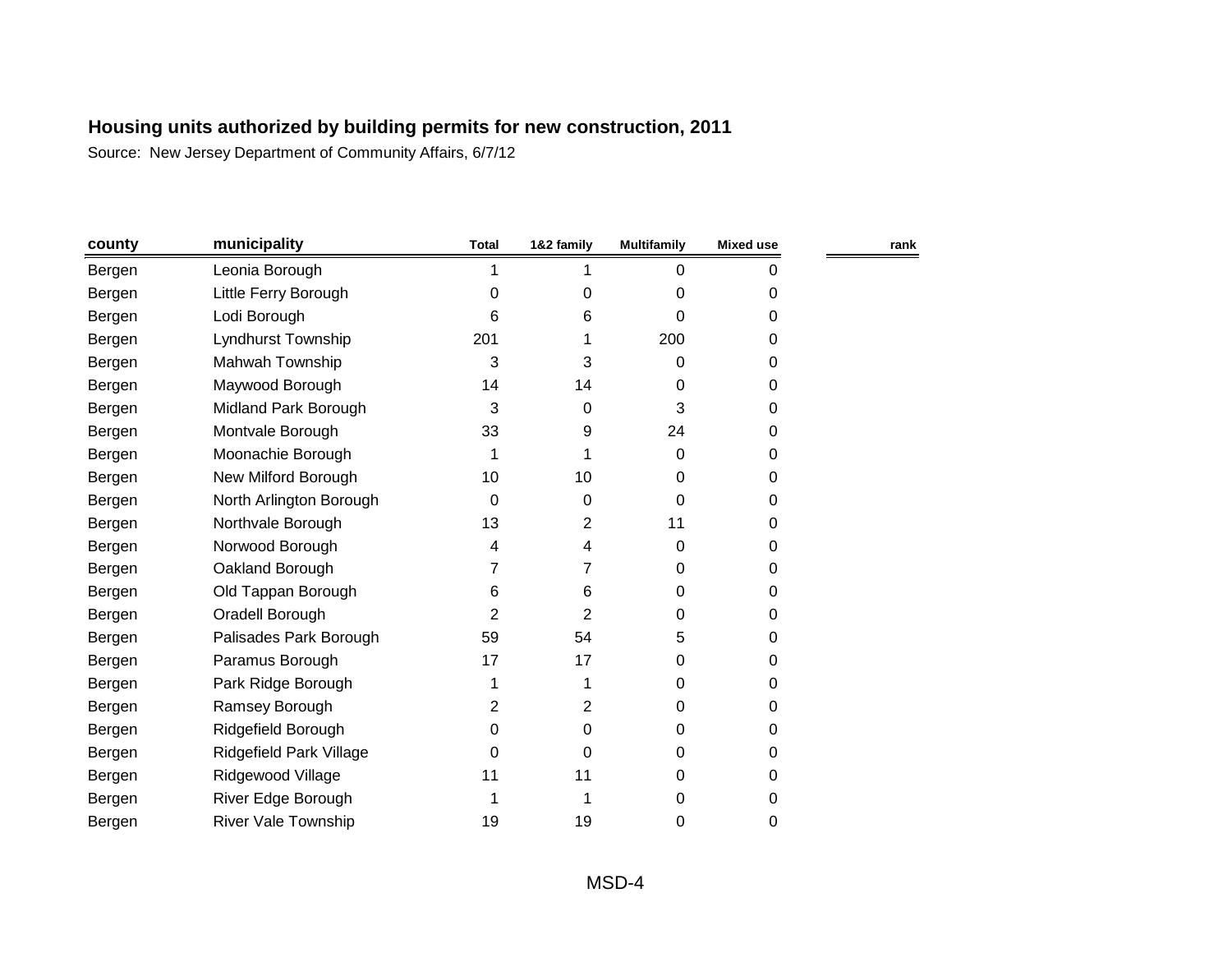| county | municipality               | <b>Total</b> | 1&2 family     | <b>Multifamily</b> | Mixed use | rank |
|--------|----------------------------|--------------|----------------|--------------------|-----------|------|
| Bergen | Leonia Borough             |              |                | 0                  | 0         |      |
| Bergen | Little Ferry Borough       | 0            | 0              | 0                  | 0         |      |
| Bergen | Lodi Borough               | 6            | 6              | 0                  | 0         |      |
| Bergen | Lyndhurst Township         | 201          |                | 200                | 0         |      |
| Bergen | Mahwah Township            | 3            | 3              | 0                  | 0         |      |
| Bergen | Maywood Borough            | 14           | 14             | 0                  | 0         |      |
| Bergen | Midland Park Borough       | 3            | 0              | 3                  | 0         |      |
| Bergen | Montvale Borough           | 33           | 9              | 24                 | 0         |      |
| Bergen | Moonachie Borough          | 1            |                | $\Omega$           | 0         |      |
| Bergen | New Milford Borough        | 10           | 10             | 0                  | 0         |      |
| Bergen | North Arlington Borough    | $\Omega$     | 0              | 0                  | 0         |      |
| Bergen | Northvale Borough          | 13           | $\overline{2}$ | 11                 | 0         |      |
| Bergen | Norwood Borough            | 4            | 4              | 0                  | 0         |      |
| Bergen | Oakland Borough            | 7            | 7              | 0                  | 0         |      |
| Bergen | Old Tappan Borough         | 6            | 6              | 0                  | 0         |      |
| Bergen | Oradell Borough            | 2            | 2              | 0                  | 0         |      |
| Bergen | Palisades Park Borough     | 59           | 54             | 5                  | 0         |      |
| Bergen | Paramus Borough            | 17           | 17             | 0                  | 0         |      |
| Bergen | Park Ridge Borough         | 1            |                | 0                  | 0         |      |
| Bergen | Ramsey Borough             | 2            | $\overline{2}$ | 0                  | 0         |      |
| Bergen | Ridgefield Borough         | 0            | 0              | 0                  | 0         |      |
| Bergen | Ridgefield Park Village    | 0            | 0              | $\Omega$           | 0         |      |
| Bergen | Ridgewood Village          | 11           | 11             | $\Omega$           | 0         |      |
| Bergen | River Edge Borough         |              |                | 0                  | 0         |      |
| Bergen | <b>River Vale Township</b> | 19           | 19             | 0                  | 0         |      |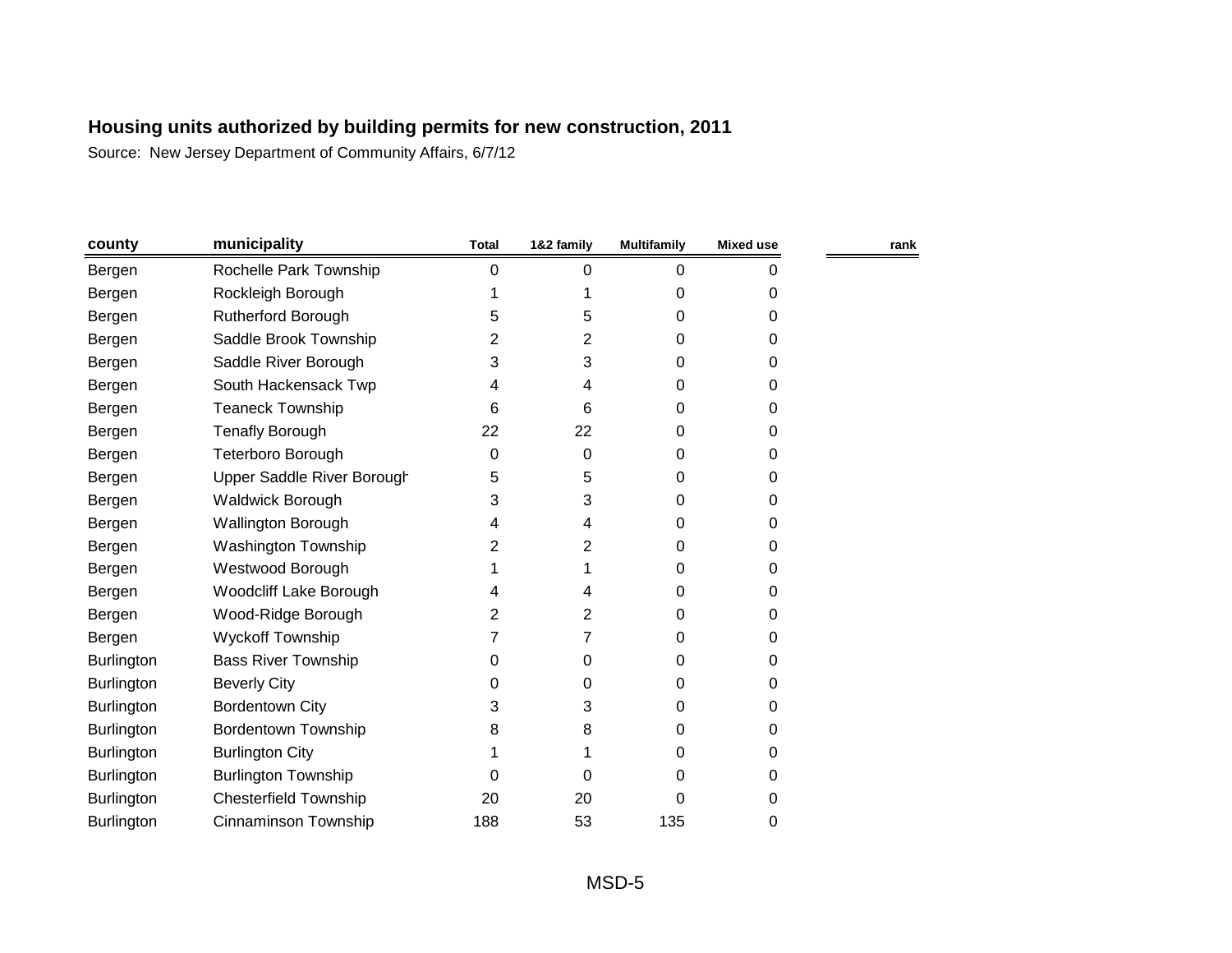| county            | municipality                 | <b>Total</b> | 1&2 family | <b>Multifamily</b> | <b>Mixed use</b> | rank |
|-------------------|------------------------------|--------------|------------|--------------------|------------------|------|
| Bergen            | Rochelle Park Township       | 0            | 0          | 0                  | 0                |      |
| Bergen            | Rockleigh Borough            |              | 1          | 0                  | 0                |      |
| Bergen            | Rutherford Borough           | 5            | 5          | 0                  | 0                |      |
| Bergen            | Saddle Brook Township        | 2            | 2          | 0                  | 0                |      |
| Bergen            | Saddle River Borough         | 3            | 3          | 0                  | 0                |      |
| Bergen            | South Hackensack Twp         | 4            | 4          | 0                  | 0                |      |
| Bergen            | <b>Teaneck Township</b>      | 6            | 6          | 0                  | 0                |      |
| Bergen            | <b>Tenafly Borough</b>       | 22           | 22         | 0                  | 0                |      |
| Bergen            | Teterboro Borough            | 0            | 0          | 0                  | 0                |      |
| Bergen            | Upper Saddle River Borough   | 5            | 5          | 0                  | 0                |      |
| Bergen            | <b>Waldwick Borough</b>      | 3            | 3          | 0                  | 0                |      |
| Bergen            | Wallington Borough           | 4            | 4          | 0                  | 0                |      |
| Bergen            | <b>Washington Township</b>   | 2            | 2          | 0                  | 0                |      |
| Bergen            | Westwood Borough             |              | 1          | 0                  | 0                |      |
| Bergen            | Woodcliff Lake Borough       | 4            | 4          | 0                  | 0                |      |
| Bergen            | Wood-Ridge Borough           | 2            | 2          | 0                  | 0                |      |
| Bergen            | <b>Wyckoff Township</b>      |              | 7          | 0                  | 0                |      |
| <b>Burlington</b> | <b>Bass River Township</b>   | 0            | 0          | 0                  | 0                |      |
| <b>Burlington</b> | <b>Beverly City</b>          | 0            | 0          | 0                  | 0                |      |
| <b>Burlington</b> | <b>Bordentown City</b>       | 3            | 3          | 0                  | 0                |      |
| Burlington        | <b>Bordentown Township</b>   | 8            | 8          | 0                  | 0                |      |
| Burlington        | <b>Burlington City</b>       |              | 1          | 0                  | 0                |      |
| <b>Burlington</b> | <b>Burlington Township</b>   | 0            | 0          | 0                  | 0                |      |
| Burlington        | <b>Chesterfield Township</b> | 20           | 20         | 0                  | 0                |      |
| <b>Burlington</b> | Cinnaminson Township         | 188          | 53         | 135                | 0                |      |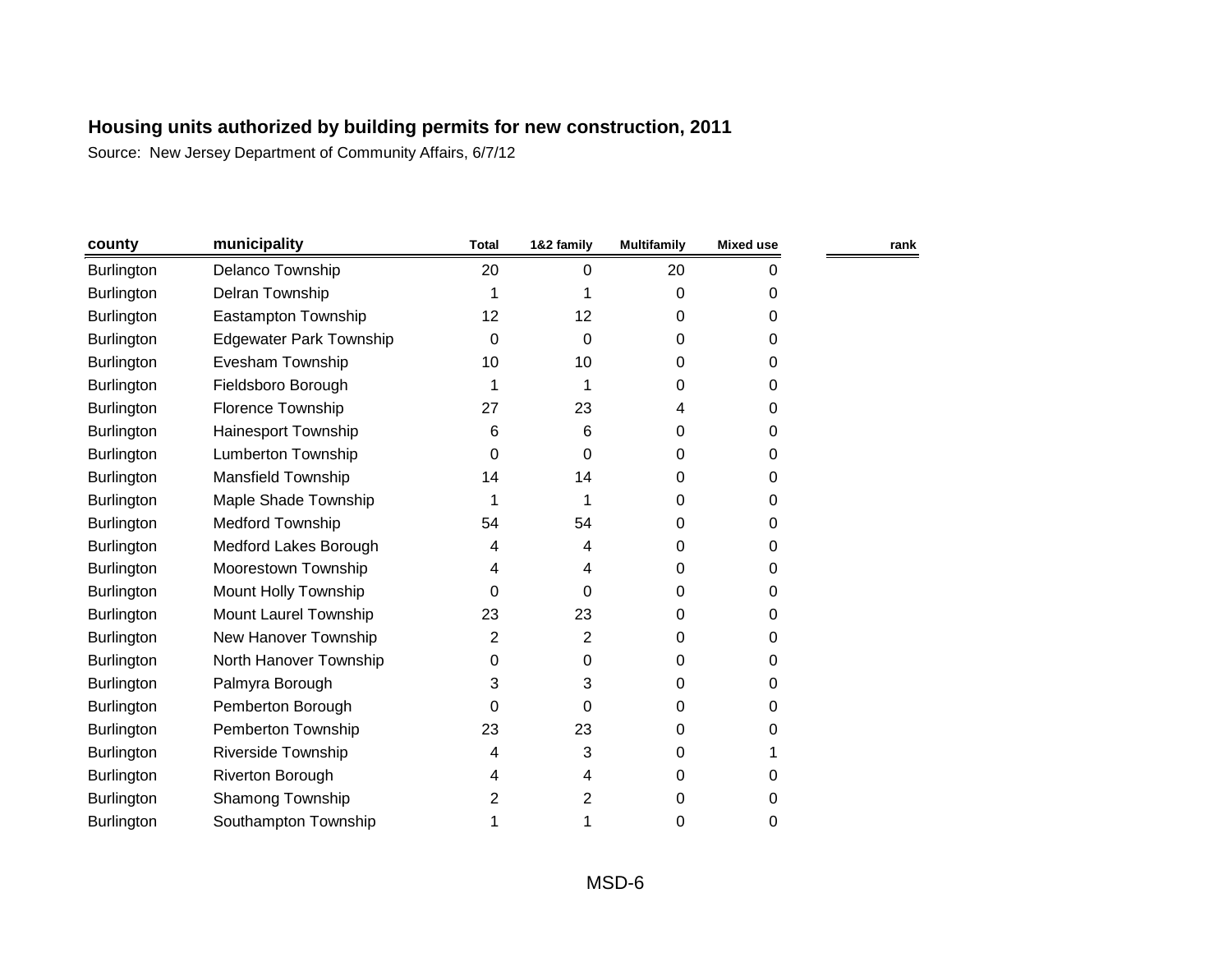| county            | municipality                   | <b>Total</b> | 1&2 family | <b>Multifamily</b> | <b>Mixed use</b> | rank |
|-------------------|--------------------------------|--------------|------------|--------------------|------------------|------|
| Burlington        | Delanco Township               | 20           | 0          | 20                 | 0                |      |
| Burlington        | Delran Township                | 1            |            | 0                  | 0                |      |
| Burlington        | Eastampton Township            | 12           | 12         | 0                  | 0                |      |
| <b>Burlington</b> | <b>Edgewater Park Township</b> | 0            | 0          | 0                  | 0                |      |
| Burlington        | Evesham Township               | 10           | 10         | 0                  | 0                |      |
| <b>Burlington</b> | Fieldsboro Borough             | 1            | 1          | 0                  | 0                |      |
| <b>Burlington</b> | Florence Township              | 27           | 23         | 4                  | 0                |      |
| Burlington        | Hainesport Township            | 6            | 6          | 0                  | 0                |      |
| Burlington        | <b>Lumberton Township</b>      | $\Omega$     | 0          | 0                  | 0                |      |
| Burlington        | Mansfield Township             | 14           | 14         | 0                  | 0                |      |
| <b>Burlington</b> | Maple Shade Township           | 1            | 1          | 0                  | 0                |      |
| Burlington        | <b>Medford Township</b>        | 54           | 54         | 0                  | 0                |      |
| Burlington        | Medford Lakes Borough          | 4            | 4          | 0                  | 0                |      |
| <b>Burlington</b> | Moorestown Township            | 4            | 4          | 0                  | 0                |      |
| Burlington        | Mount Holly Township           | 0            | 0          | 0                  | 0                |      |
| <b>Burlington</b> | Mount Laurel Township          | 23           | 23         | 0                  | 0                |      |
| Burlington        | New Hanover Township           | 2            | 2          | 0                  | 0                |      |
| <b>Burlington</b> | North Hanover Township         | 0            | 0          | 0                  | 0                |      |
| Burlington        | Palmyra Borough                | 3            | 3          | 0                  | 0                |      |
| Burlington        | Pemberton Borough              | 0            | 0          | 0                  | 0                |      |
| <b>Burlington</b> | Pemberton Township             | 23           | 23         | 0                  | 0                |      |
| Burlington        | <b>Riverside Township</b>      | 4            | 3          | 0                  |                  |      |
| <b>Burlington</b> | Riverton Borough               | 4            | 4          | 0                  | 0                |      |
| Burlington        | Shamong Township               | 2            | 2          | 0                  | 0                |      |
| Burlington        | Southampton Township           |              | 1          | 0                  | 0                |      |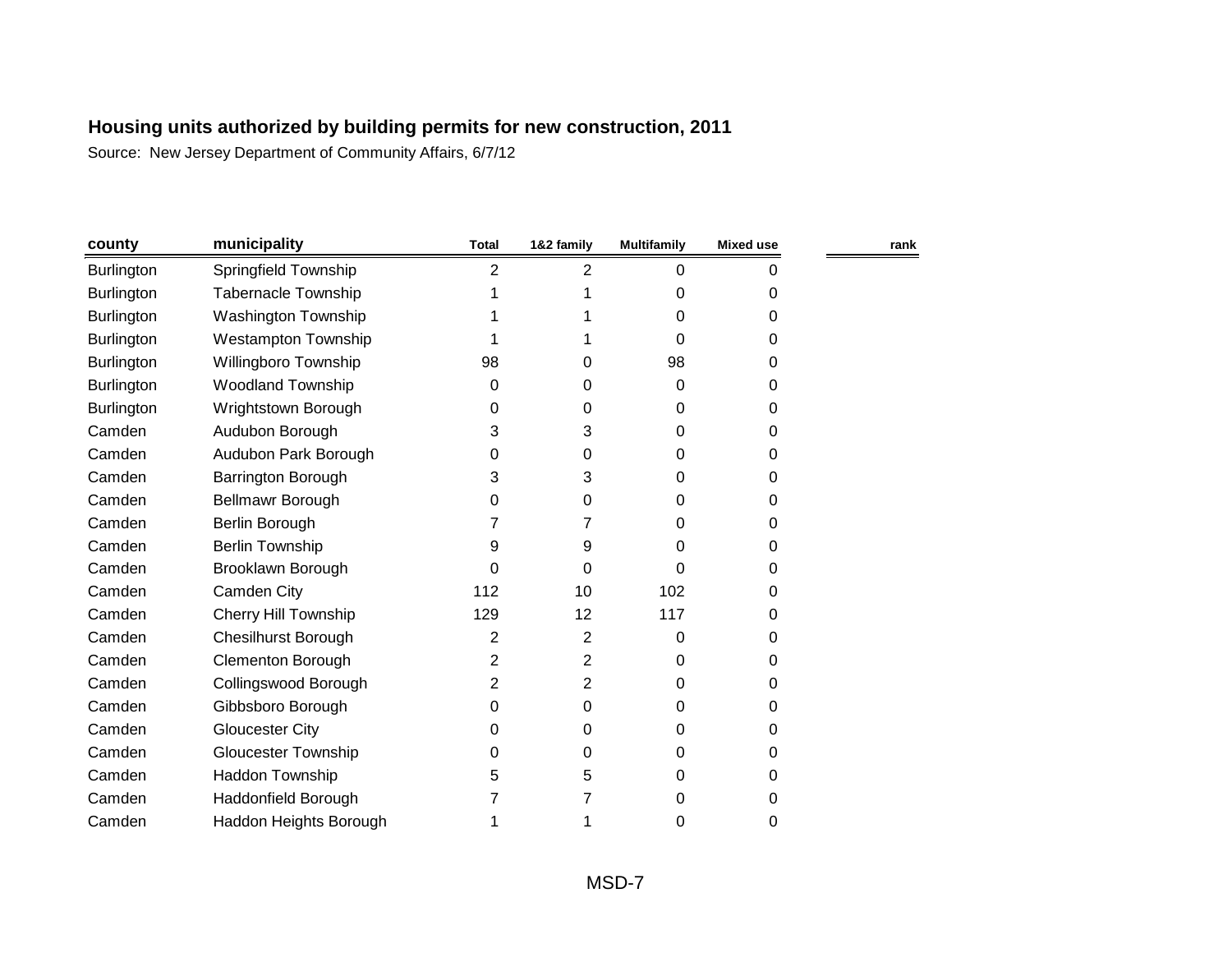| county            | municipality               | <b>Total</b>   | 1&2 family     | <b>Multifamily</b> | <b>Mixed use</b> | rank |
|-------------------|----------------------------|----------------|----------------|--------------------|------------------|------|
| Burlington        | Springfield Township       | $\overline{2}$ | $\overline{2}$ | $\mathbf 0$        | 0                |      |
| <b>Burlington</b> | <b>Tabernacle Township</b> |                |                | 0                  | 0                |      |
| <b>Burlington</b> | <b>Washington Township</b> |                |                | 0                  | 0                |      |
| <b>Burlington</b> | <b>Westampton Township</b> |                |                | 0                  | 0                |      |
| <b>Burlington</b> | Willingboro Township       | 98             | 0              | 98                 | 0                |      |
| <b>Burlington</b> | <b>Woodland Township</b>   | 0              | 0              | 0                  | 0                |      |
| Burlington        | Wrightstown Borough        | 0              | 0              | 0                  | 0                |      |
| Camden            | Audubon Borough            | 3              | 3              | 0                  | 0                |      |
| Camden            | Audubon Park Borough       | 0              | 0              | 0                  | 0                |      |
| Camden            | <b>Barrington Borough</b>  | 3              | 3              | 0                  | 0                |      |
| Camden            | Bellmawr Borough           | 0              | 0              | 0                  | 0                |      |
| Camden            | Berlin Borough             |                | 7              | 0                  | 0                |      |
| Camden            | <b>Berlin Township</b>     | 9              | 9              | 0                  | 0                |      |
| Camden            | Brooklawn Borough          | 0              | 0              | 0                  | 0                |      |
| Camden            | Camden City                | 112            | 10             | 102                | 0                |      |
| Camden            | Cherry Hill Township       | 129            | 12             | 117                | 0                |      |
| Camden            | <b>Chesilhurst Borough</b> | 2              | 2              | 0                  | 0                |      |
| Camden            | <b>Clementon Borough</b>   | 2              | 2              | 0                  | 0                |      |
| Camden            | Collingswood Borough       | 2              | $\overline{2}$ | 0                  | 0                |      |
| Camden            | Gibbsboro Borough          | 0              | 0              | 0                  | 0                |      |
| Camden            | <b>Gloucester City</b>     | 0              | 0              | 0                  | 0                |      |
| Camden            | <b>Gloucester Township</b> | 0              | 0              | 0                  | 0                |      |
| Camden            | Haddon Township            | 5              | 5              | 0                  | 0                |      |
| Camden            | Haddonfield Borough        |                | 7              | 0                  | 0                |      |
| Camden            | Haddon Heights Borough     |                |                | 0                  | 0                |      |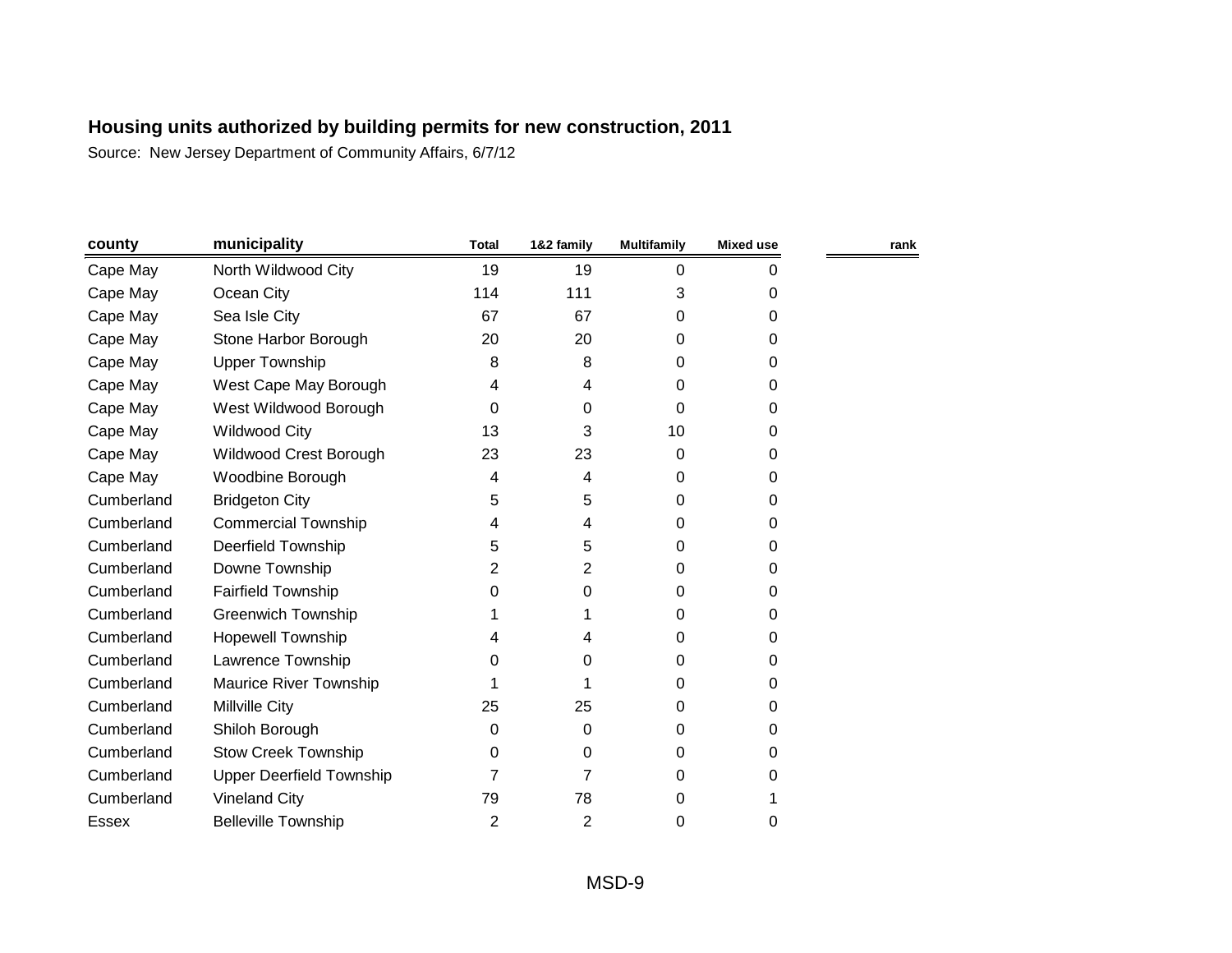| county     | municipality                    | <b>Total</b> | 1&2 family     | <b>Multifamily</b> | <b>Mixed use</b> | rank |
|------------|---------------------------------|--------------|----------------|--------------------|------------------|------|
| Cape May   | North Wildwood City             | 19           | 19             | 0                  | 0                |      |
| Cape May   | Ocean City                      | 114          | 111            | 3                  | 0                |      |
| Cape May   | Sea Isle City                   | 67           | 67             | 0                  | 0                |      |
| Cape May   | Stone Harbor Borough            | 20           | 20             | 0                  | 0                |      |
| Cape May   | <b>Upper Township</b>           | 8            | 8              | 0                  | 0                |      |
| Cape May   | West Cape May Borough           | 4            | 4              | 0                  | 0                |      |
| Cape May   | West Wildwood Borough           | 0            | 0              | 0                  | 0                |      |
| Cape May   | <b>Wildwood City</b>            | 13           | 3              | 10                 | 0                |      |
| Cape May   | Wildwood Crest Borough          | 23           | 23             | 0                  | 0                |      |
| Cape May   | Woodbine Borough                | 4            | 4              | 0                  | 0                |      |
| Cumberland | <b>Bridgeton City</b>           | 5            | 5              | 0                  | 0                |      |
| Cumberland | <b>Commercial Township</b>      | 4            | 4              | 0                  | 0                |      |
| Cumberland | <b>Deerfield Township</b>       | 5            | 5              | 0                  | 0                |      |
| Cumberland | Downe Township                  | 2            | 2              | 0                  | 0                |      |
| Cumberland | <b>Fairfield Township</b>       | 0            | 0              | 0                  | 0                |      |
| Cumberland | <b>Greenwich Township</b>       |              |                | 0                  | 0                |      |
| Cumberland | <b>Hopewell Township</b>        | 4            | 4              | 0                  | 0                |      |
| Cumberland | Lawrence Township               | 0            | 0              | 0                  | 0                |      |
| Cumberland | <b>Maurice River Township</b>   |              |                | 0                  | 0                |      |
| Cumberland | Millville City                  | 25           | 25             | 0                  | 0                |      |
| Cumberland | Shiloh Borough                  | 0            | 0              | 0                  | 0                |      |
| Cumberland | <b>Stow Creek Township</b>      | 0            | 0              | 0                  | 0                |      |
| Cumberland | <b>Upper Deerfield Township</b> |              | 7              | 0                  | 0                |      |
| Cumberland | <b>Vineland City</b>            | 79           | 78             | 0                  |                  |      |
| Essex      | <b>Belleville Township</b>      | 2            | $\overline{2}$ | 0                  | 0                |      |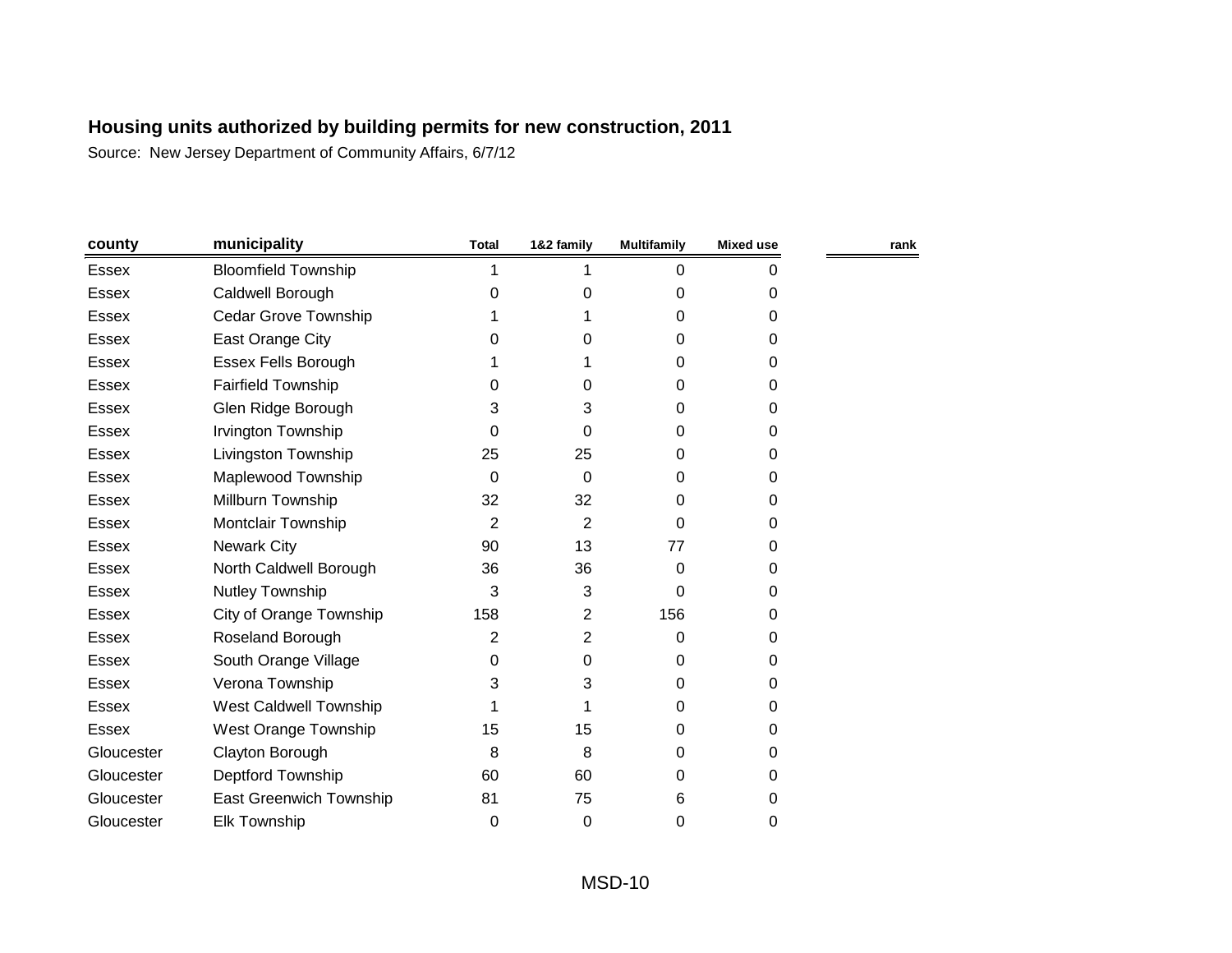| county       | municipality                | <b>Total</b>   | 1&2 family | <b>Multifamily</b> | <b>Mixed use</b> | rank |
|--------------|-----------------------------|----------------|------------|--------------------|------------------|------|
| Essex        | <b>Bloomfield Township</b>  | 1              |            | 0                  | 0                |      |
| Essex        | Caldwell Borough            | $\Omega$       | 0          | 0                  | 0                |      |
| Essex        | <b>Cedar Grove Township</b> |                |            | 0                  | 0                |      |
| Essex        | East Orange City            | 0              | 0          | 0                  | $\Omega$         |      |
| <b>Essex</b> | <b>Essex Fells Borough</b>  |                |            | 0                  | 0                |      |
| Essex        | <b>Fairfield Township</b>   | 0              | 0          | 0                  | 0                |      |
| <b>Essex</b> | Glen Ridge Borough          | 3              | 3          | 0                  | 0                |      |
| <b>Essex</b> | Irvington Township          | 0              | 0          | 0                  | 0                |      |
| Essex        | Livingston Township         | 25             | 25         | 0                  | 0                |      |
| Essex        | Maplewood Township          | 0              | 0          | 0                  | 0                |      |
| Essex        | Millburn Township           | 32             | 32         | 0                  | 0                |      |
| <b>Essex</b> | Montclair Township          | 2              | 2          | 0                  | 0                |      |
| Essex        | <b>Newark City</b>          | 90             | 13         | 77                 | 0                |      |
| <b>Essex</b> | North Caldwell Borough      | 36             | 36         | 0                  | 0                |      |
| Essex        | Nutley Township             | 3              | 3          | $\Omega$           | 0                |      |
| <b>Essex</b> | City of Orange Township     | 158            | 2          | 156                | 0                |      |
| Essex        | Roseland Borough            | $\overline{2}$ | 2          | 0                  | 0                |      |
| <b>Essex</b> | South Orange Village        | 0              | 0          | 0                  | 0                |      |
| <b>Essex</b> | Verona Township             | 3              | 3          | 0                  | 0                |      |
| Essex        | West Caldwell Township      |                |            | 0                  | 0                |      |
| <b>Essex</b> | West Orange Township        | 15             | 15         | 0                  | 0                |      |
| Gloucester   | Clayton Borough             | 8              | 8          | 0                  | 0                |      |
| Gloucester   | Deptford Township           | 60             | 60         | 0                  | 0                |      |
| Gloucester   | East Greenwich Township     | 81             | 75         | 6                  | 0                |      |
| Gloucester   | <b>Elk Township</b>         | 0              | 0          | 0                  | 0                |      |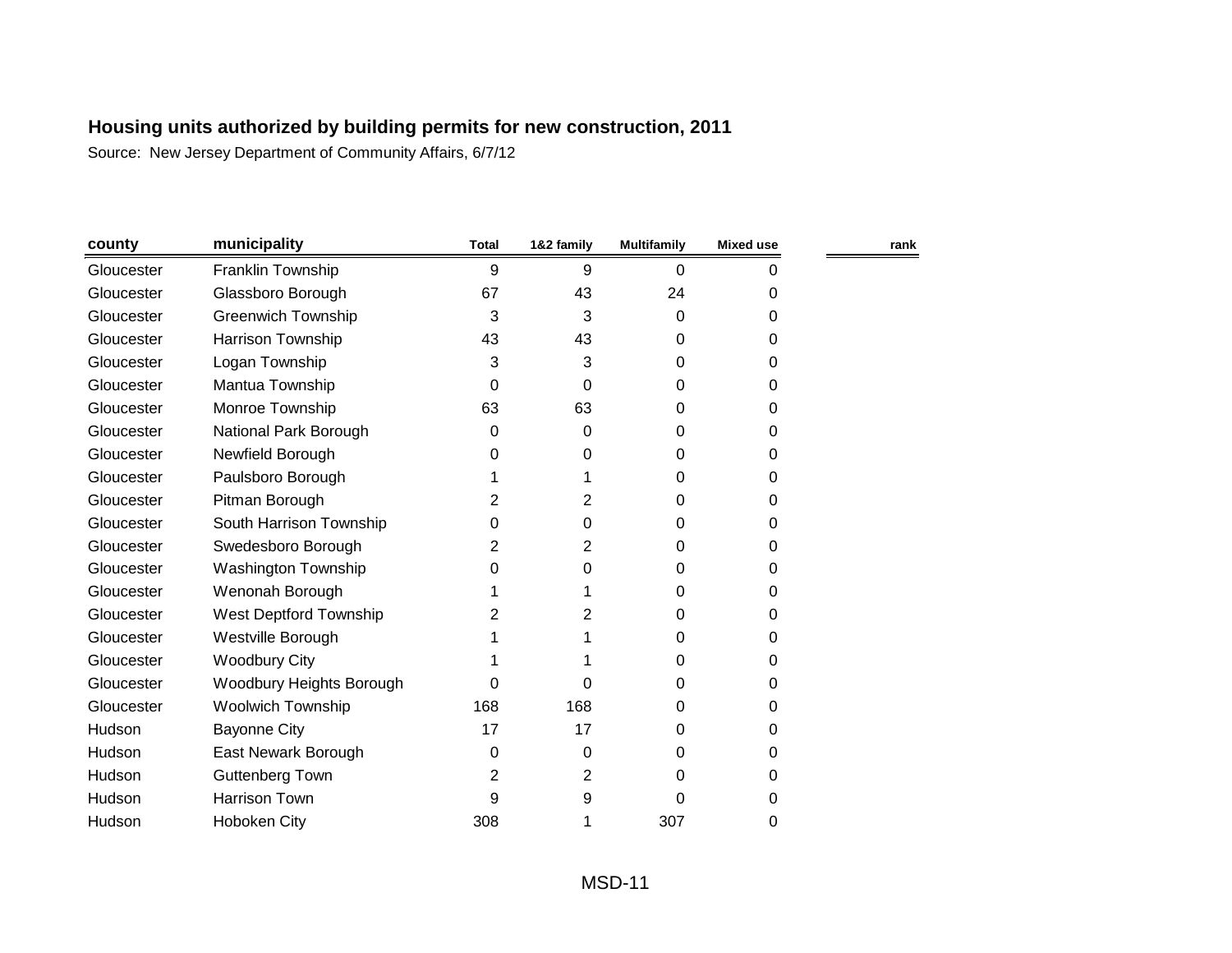| county     | municipality               | <b>Total</b> | 1&2 family | <b>Multifamily</b> | <b>Mixed use</b> | rank |
|------------|----------------------------|--------------|------------|--------------------|------------------|------|
| Gloucester | Franklin Township          | 9            | 9          | 0                  | 0                |      |
| Gloucester | Glassboro Borough          | 67           | 43         | 24                 | 0                |      |
| Gloucester | <b>Greenwich Township</b>  | 3            | 3          | 0                  | 0                |      |
| Gloucester | Harrison Township          | 43           | 43         | 0                  | 0                |      |
| Gloucester | Logan Township             | 3            | 3          | 0                  | 0                |      |
| Gloucester | Mantua Township            | 0            | 0          | 0                  | 0                |      |
| Gloucester | Monroe Township            | 63           | 63         | 0                  | 0                |      |
| Gloucester | National Park Borough      | 0            | 0          | 0                  | 0                |      |
| Gloucester | Newfield Borough           | 0            | 0          | 0                  | 0                |      |
| Gloucester | Paulsboro Borough          |              | 1          | 0                  | 0                |      |
| Gloucester | Pitman Borough             | 2            | 2          | 0                  | 0                |      |
| Gloucester | South Harrison Township    | 0            | 0          | 0                  | 0                |      |
| Gloucester | Swedesboro Borough         | 2            | 2          | 0                  | 0                |      |
| Gloucester | <b>Washington Township</b> | 0            | 0          | 0                  | 0                |      |
| Gloucester | Wenonah Borough            |              |            | 0                  | 0                |      |
| Gloucester | West Deptford Township     | 2            | 2          | $\Omega$           | 0                |      |
| Gloucester | Westville Borough          |              |            | 0                  | 0                |      |
| Gloucester | <b>Woodbury City</b>       |              |            | 0                  | 0                |      |
| Gloucester | Woodbury Heights Borough   | 0            | 0          | 0                  | 0                |      |
| Gloucester | <b>Woolwich Township</b>   | 168          | 168        | 0                  | 0                |      |
| Hudson     | <b>Bayonne City</b>        | 17           | 17         | 0                  | 0                |      |
| Hudson     | East Newark Borough        | 0            | 0          | 0                  | 0                |      |
| Hudson     | <b>Guttenberg Town</b>     | 2            | 2          | 0                  | 0                |      |
| Hudson     | <b>Harrison Town</b>       | 9            | 9          | 0                  | 0                |      |
| Hudson     | <b>Hoboken City</b>        | 308          |            | 307                | 0                |      |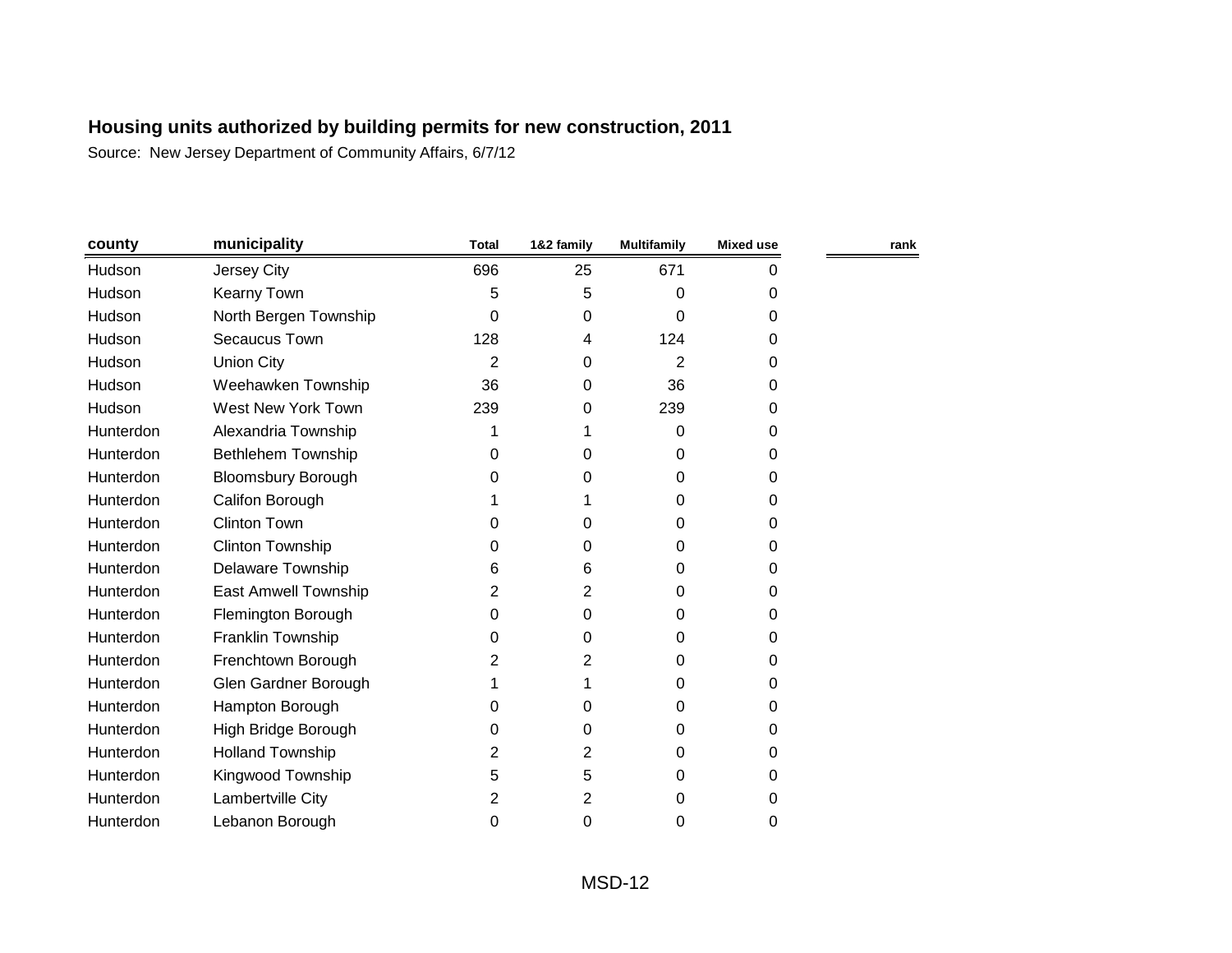| county    | municipality                | <b>Total</b> | 1&2 family     | <b>Multifamily</b> | <b>Mixed use</b> | rank |
|-----------|-----------------------------|--------------|----------------|--------------------|------------------|------|
| Hudson    | Jersey City                 | 696          | 25             | 671                | 0                |      |
| Hudson    | Kearny Town                 | 5            | 5              | 0                  | 0                |      |
| Hudson    | North Bergen Township       | $\Omega$     | 0              | 0                  | $\Omega$         |      |
| Hudson    | Secaucus Town               | 128          | 4              | 124                | 0                |      |
| Hudson    | <b>Union City</b>           | 2            | 0              | $\overline{2}$     | $\Omega$         |      |
| Hudson    | Weehawken Township          | 36           | 0              | 36                 | 0                |      |
| Hudson    | West New York Town          | 239          | 0              | 239                | 0                |      |
| Hunterdon | Alexandria Township         | 1            | 1              | 0                  | $\Omega$         |      |
| Hunterdon | Bethlehem Township          | 0            | 0              | 0                  | 0                |      |
| Hunterdon | <b>Bloomsbury Borough</b>   | 0            | 0              | 0                  | 0                |      |
| Hunterdon | Califon Borough             |              |                | 0                  | 0                |      |
| Hunterdon | <b>Clinton Town</b>         | 0            | 0              | 0                  | 0                |      |
| Hunterdon | <b>Clinton Township</b>     | 0            | 0              | 0                  | 0                |      |
| Hunterdon | <b>Delaware Township</b>    | 6            | 6              | 0                  | 0                |      |
| Hunterdon | <b>East Amwell Township</b> | 2            | $\overline{2}$ | 0                  | 0                |      |
| Hunterdon | Flemington Borough          | 0            | 0              | 0                  | 0                |      |
| Hunterdon | Franklin Township           | 0            | 0              | 0                  | 0                |      |
| Hunterdon | Frenchtown Borough          | 2            | 2              | 0                  | 0                |      |
| Hunterdon | Glen Gardner Borough        |              | 1              | 0                  | $\Omega$         |      |
| Hunterdon | Hampton Borough             | 0            | 0              | 0                  | 0                |      |
| Hunterdon | High Bridge Borough         | 0            | 0              | 0                  | 0                |      |
| Hunterdon | <b>Holland Township</b>     | 2            | 2              | 0                  | 0                |      |
| Hunterdon | Kingwood Township           | 5            | 5              | 0                  | 0                |      |
| Hunterdon | Lambertville City           | 2            | 2              | 0                  | 0                |      |
| Hunterdon | Lebanon Borough             | 0            | 0              | 0                  | 0                |      |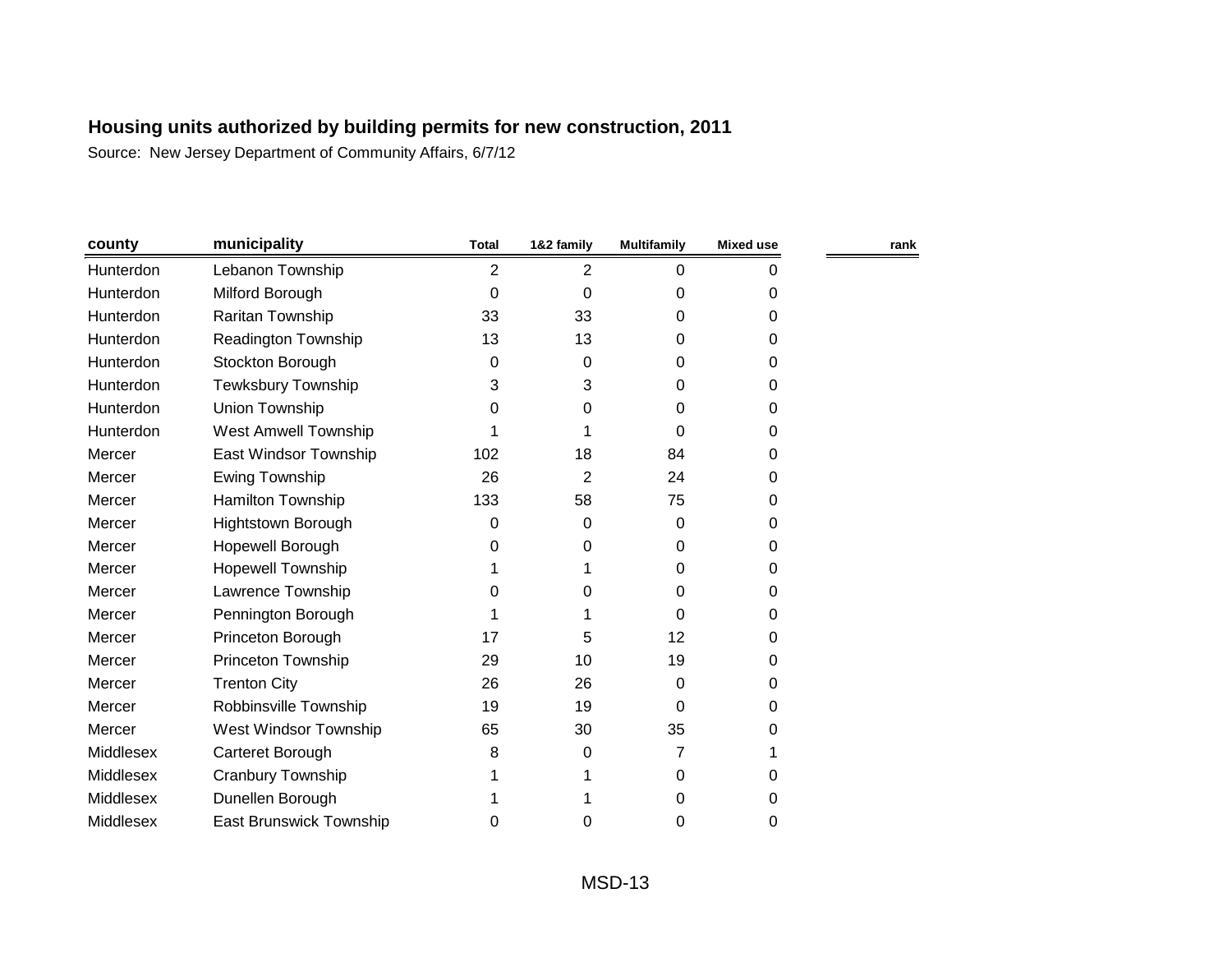| county    | municipality                   | <b>Total</b>   | 1&2 family | <b>Multifamily</b> | <b>Mixed use</b> | rank |
|-----------|--------------------------------|----------------|------------|--------------------|------------------|------|
| Hunterdon | Lebanon Township               | $\overline{2}$ | 2          | $\Omega$           | 0                |      |
| Hunterdon | Milford Borough                | $\Omega$       | 0          | 0                  | 0                |      |
| Hunterdon | Raritan Township               | 33             | 33         | 0                  | 0                |      |
| Hunterdon | Readington Township            | 13             | 13         | 0                  | 0                |      |
| Hunterdon | Stockton Borough               | 0              | 0          | 0                  | 0                |      |
| Hunterdon | Tewksbury Township             | 3              | 3          | 0                  | 0                |      |
| Hunterdon | Union Township                 | 0              | 0          | 0                  | 0                |      |
| Hunterdon | West Amwell Township           |                |            | 0                  | 0                |      |
| Mercer    | East Windsor Township          | 102            | 18         | 84                 | 0                |      |
| Mercer    | <b>Ewing Township</b>          | 26             | 2          | 24                 | 0                |      |
| Mercer    | Hamilton Township              | 133            | 58         | 75                 | 0                |      |
| Mercer    | Hightstown Borough             | 0              | 0          | 0                  | 0                |      |
| Mercer    | Hopewell Borough               | 0              | 0          | 0                  | 0                |      |
| Mercer    | <b>Hopewell Township</b>       |                |            | 0                  | 0                |      |
| Mercer    | Lawrence Township              | 0              | 0          | 0                  | 0                |      |
| Mercer    | Pennington Borough             |                |            | 0                  | 0                |      |
| Mercer    | Princeton Borough              | 17             | 5          | 12                 | 0                |      |
| Mercer    | Princeton Township             | 29             | 10         | 19                 | 0                |      |
| Mercer    | <b>Trenton City</b>            | 26             | 26         | 0                  | 0                |      |
| Mercer    | Robbinsville Township          | 19             | 19         | 0                  | 0                |      |
| Mercer    | West Windsor Township          | 65             | 30         | 35                 | 0                |      |
| Middlesex | Carteret Borough               | 8              | $\Omega$   | 7                  |                  |      |
| Middlesex | Cranbury Township              |                |            | 0                  | 0                |      |
| Middlesex | Dunellen Borough               |                |            | 0                  | 0                |      |
| Middlesex | <b>East Brunswick Township</b> | 0              | 0          | 0                  | 0                |      |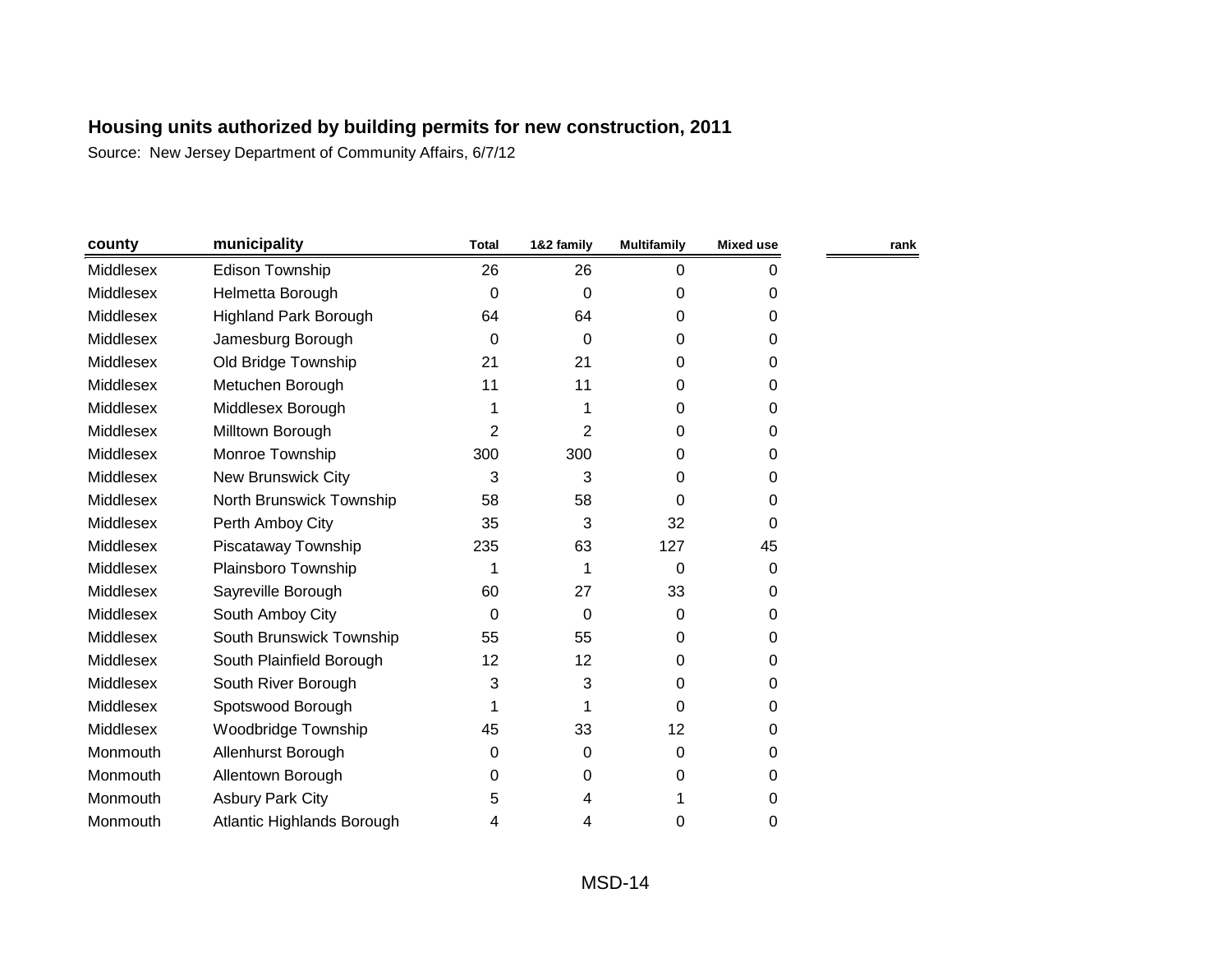| county    | municipality                 | <b>Total</b> | 1&2 family | <b>Multifamily</b> | <b>Mixed use</b> | rank |
|-----------|------------------------------|--------------|------------|--------------------|------------------|------|
| Middlesex | <b>Edison Township</b>       | 26           | 26         | 0                  | 0                |      |
| Middlesex | Helmetta Borough             | $\Omega$     | 0          | 0                  | 0                |      |
| Middlesex | <b>Highland Park Borough</b> | 64           | 64         | 0                  | 0                |      |
| Middlesex | Jamesburg Borough            | 0            | 0          | 0                  | 0                |      |
| Middlesex | Old Bridge Township          | 21           | 21         | 0                  | 0                |      |
| Middlesex | Metuchen Borough             | 11           | 11         | 0                  | 0                |      |
| Middlesex | Middlesex Borough            |              |            | 0                  | 0                |      |
| Middlesex | Milltown Borough             | 2            | 2          | 0                  | 0                |      |
| Middlesex | Monroe Township              | 300          | 300        | 0                  | 0                |      |
| Middlesex | <b>New Brunswick City</b>    | 3            | 3          | 0                  | 0                |      |
| Middlesex | North Brunswick Township     | 58           | 58         | 0                  | 0                |      |
| Middlesex | Perth Amboy City             | 35           | 3          | 32                 | $\Omega$         |      |
| Middlesex | Piscataway Township          | 235          | 63         | 127                | 45               |      |
| Middlesex | Plainsboro Township          | 1            |            | 0                  | 0                |      |
| Middlesex | Sayreville Borough           | 60           | 27         | 33                 | 0                |      |
| Middlesex | South Amboy City             | 0            | 0          | 0                  | 0                |      |
| Middlesex | South Brunswick Township     | 55           | 55         | 0                  | 0                |      |
| Middlesex | South Plainfield Borough     | 12           | 12         | 0                  | 0                |      |
| Middlesex | South River Borough          | 3            | 3          | 0                  | 0                |      |
| Middlesex | Spotswood Borough            | 1            |            | $\Omega$           | 0                |      |
| Middlesex | Woodbridge Township          | 45           | 33         | 12                 | 0                |      |
| Monmouth  | Allenhurst Borough           | 0            | 0          | 0                  | 0                |      |
| Monmouth  | Allentown Borough            | 0            | 0          | 0                  | 0                |      |
| Monmouth  | <b>Asbury Park City</b>      | 5            | 4          | 1                  | 0                |      |
| Monmouth  | Atlantic Highlands Borough   | 4            | 4          | 0                  | 0                |      |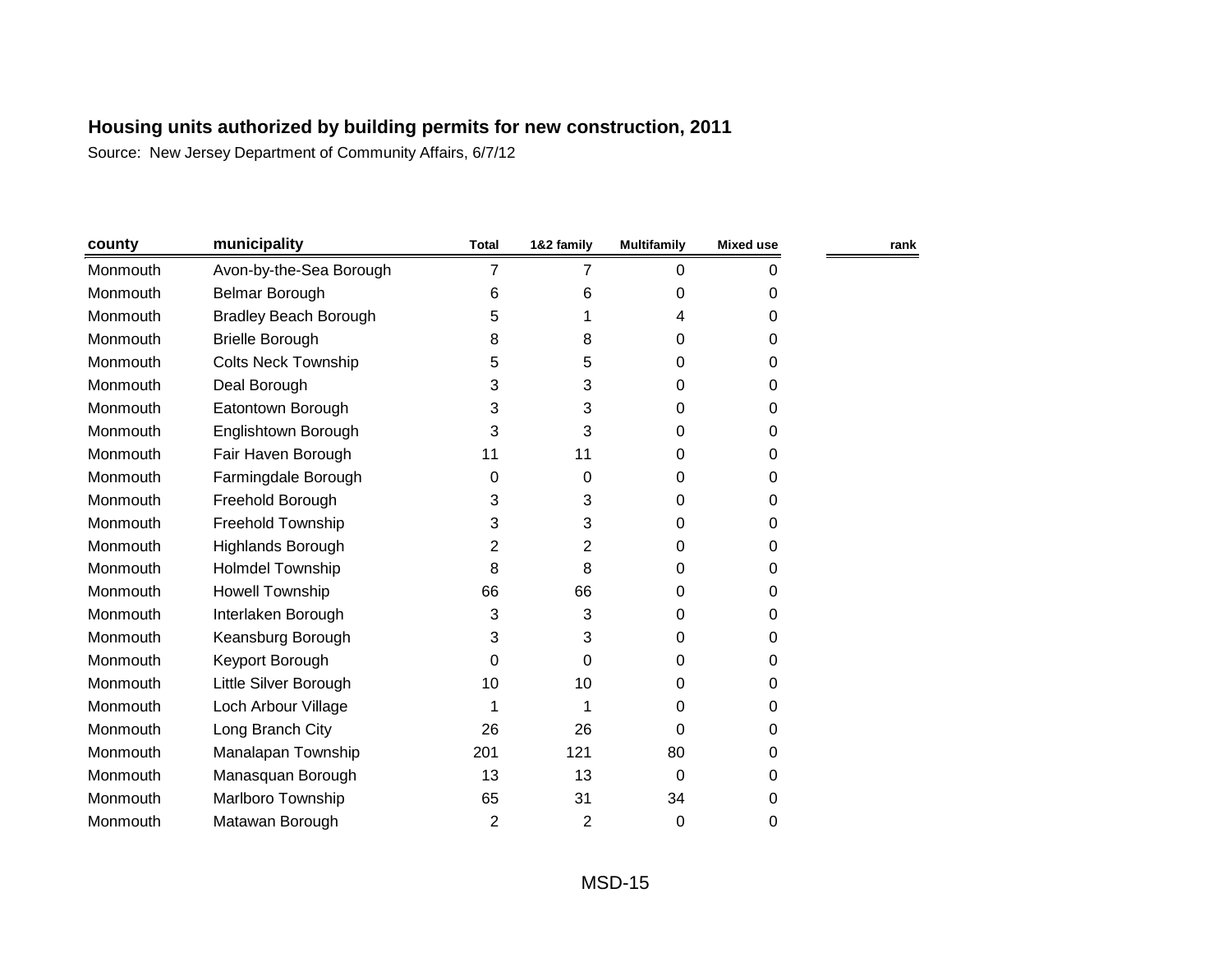| county   | municipality                 | <b>Total</b> | 1&2 family | <b>Multifamily</b> | <b>Mixed use</b> | rank |
|----------|------------------------------|--------------|------------|--------------------|------------------|------|
| Monmouth | Avon-by-the-Sea Borough      | 7            | 7          | 0                  | 0                |      |
| Monmouth | Belmar Borough               | 6            | 6          | 0                  | 0                |      |
| Monmouth | <b>Bradley Beach Borough</b> | 5            | 1          | 4                  | 0                |      |
| Monmouth | <b>Brielle Borough</b>       | 8            | 8          | 0                  | 0                |      |
| Monmouth | <b>Colts Neck Township</b>   | 5            | 5          | 0                  | $\Omega$         |      |
| Monmouth | Deal Borough                 | 3            | 3          | 0                  | 0                |      |
| Monmouth | Eatontown Borough            | 3            | 3          | 0                  | 0                |      |
| Monmouth | Englishtown Borough          | 3            | 3          | 0                  | 0                |      |
| Monmouth | Fair Haven Borough           | 11           | 11         | 0                  | 0                |      |
| Monmouth | Farmingdale Borough          | 0            | 0          | 0                  | 0                |      |
| Monmouth | Freehold Borough             | 3            | 3          | 0                  | 0                |      |
| Monmouth | Freehold Township            | 3            | 3          | 0                  | 0                |      |
| Monmouth | Highlands Borough            | 2            | 2          | 0                  | 0                |      |
| Monmouth | <b>Holmdel Township</b>      | 8            | 8          | 0                  | 0                |      |
| Monmouth | <b>Howell Township</b>       | 66           | 66         | 0                  | 0                |      |
| Monmouth | Interlaken Borough           | 3            | 3          | 0                  | 0                |      |
| Monmouth | Keansburg Borough            | 3            | 3          | 0                  | 0                |      |
| Monmouth | Keyport Borough              | 0            | 0          | 0                  | 0                |      |
| Monmouth | Little Silver Borough        | 10           | 10         | 0                  | 0                |      |
| Monmouth | Loch Arbour Village          | 1            | 1          | 0                  | 0                |      |
| Monmouth | Long Branch City             | 26           | 26         | 0                  | 0                |      |
| Monmouth | Manalapan Township           | 201          | 121        | 80                 | 0                |      |
| Monmouth | Manasquan Borough            | 13           | 13         | 0                  | 0                |      |
| Monmouth | Marlboro Township            | 65           | 31         | 34                 | 0                |      |
| Monmouth | Matawan Borough              | 2            | 2          | 0                  | 0                |      |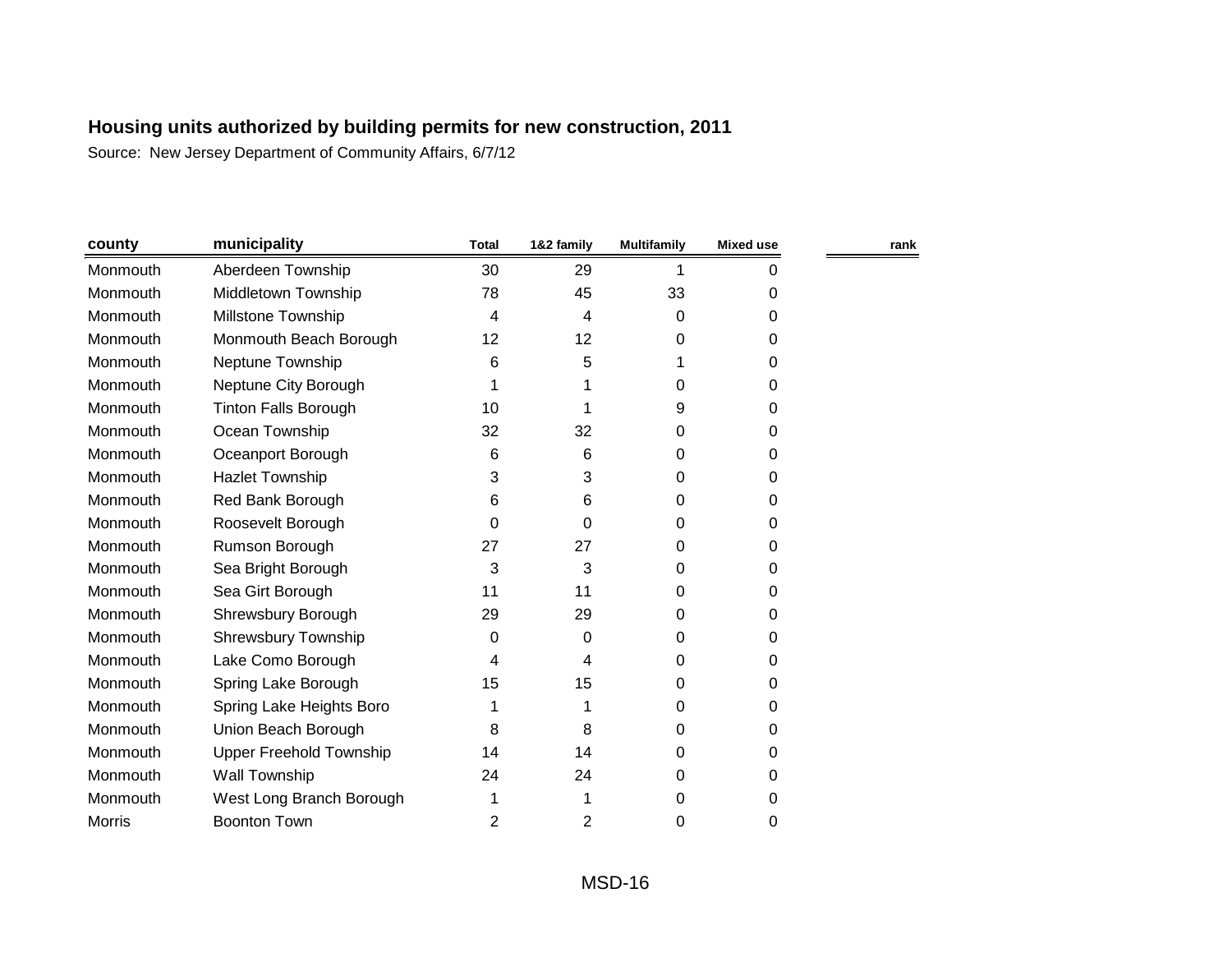| county        | municipality                   | <b>Total</b>   | 1&2 family | <b>Multifamily</b> | <b>Mixed use</b> | rank |
|---------------|--------------------------------|----------------|------------|--------------------|------------------|------|
| Monmouth      | Aberdeen Township              | 30             | 29         |                    | 0                |      |
| Monmouth      | Middletown Township            | 78             | 45         | 33                 | 0                |      |
| Monmouth      | <b>Millstone Township</b>      | 4              | 4          | 0                  | 0                |      |
| Monmouth      | Monmouth Beach Borough         | 12             | 12         | 0                  | 0                |      |
| Monmouth      | Neptune Township               | 6              | 5          |                    | 0                |      |
| Monmouth      | Neptune City Borough           |                |            | 0                  | 0                |      |
| Monmouth      | <b>Tinton Falls Borough</b>    | 10             |            | 9                  | 0                |      |
| Monmouth      | Ocean Township                 | 32             | 32         | 0                  | 0                |      |
| Monmouth      | Oceanport Borough              | 6              | 6          | 0                  | 0                |      |
| Monmouth      | <b>Hazlet Township</b>         | 3              | 3          | 0                  | 0                |      |
| Monmouth      | Red Bank Borough               | 6              | 6          | 0                  | 0                |      |
| Monmouth      | Roosevelt Borough              | $\Omega$       | 0          | 0                  | 0                |      |
| Monmouth      | Rumson Borough                 | 27             | 27         | 0                  | 0                |      |
| Monmouth      | Sea Bright Borough             | 3              | 3          | 0                  | 0                |      |
| Monmouth      | Sea Girt Borough               | 11             | 11         | 0                  | 0                |      |
| Monmouth      | Shrewsbury Borough             | 29             | 29         | 0                  | 0                |      |
| Monmouth      | <b>Shrewsbury Township</b>     | 0              | 0          | 0                  | 0                |      |
| Monmouth      | Lake Como Borough              | 4              | 4          | 0                  | 0                |      |
| Monmouth      | Spring Lake Borough            | 15             | 15         | 0                  | 0                |      |
| Monmouth      | Spring Lake Heights Boro       |                |            | 0                  | 0                |      |
| Monmouth      | Union Beach Borough            | 8              | 8          | 0                  | 0                |      |
| Monmouth      | <b>Upper Freehold Township</b> | 14             | 14         | 0                  | 0                |      |
| Monmouth      | Wall Township                  | 24             | 24         | 0                  | 0                |      |
| Monmouth      | West Long Branch Borough       | 1              |            | 0                  | 0                |      |
| <b>Morris</b> | <b>Boonton Town</b>            | $\overline{2}$ | 2          | 0                  | 0                |      |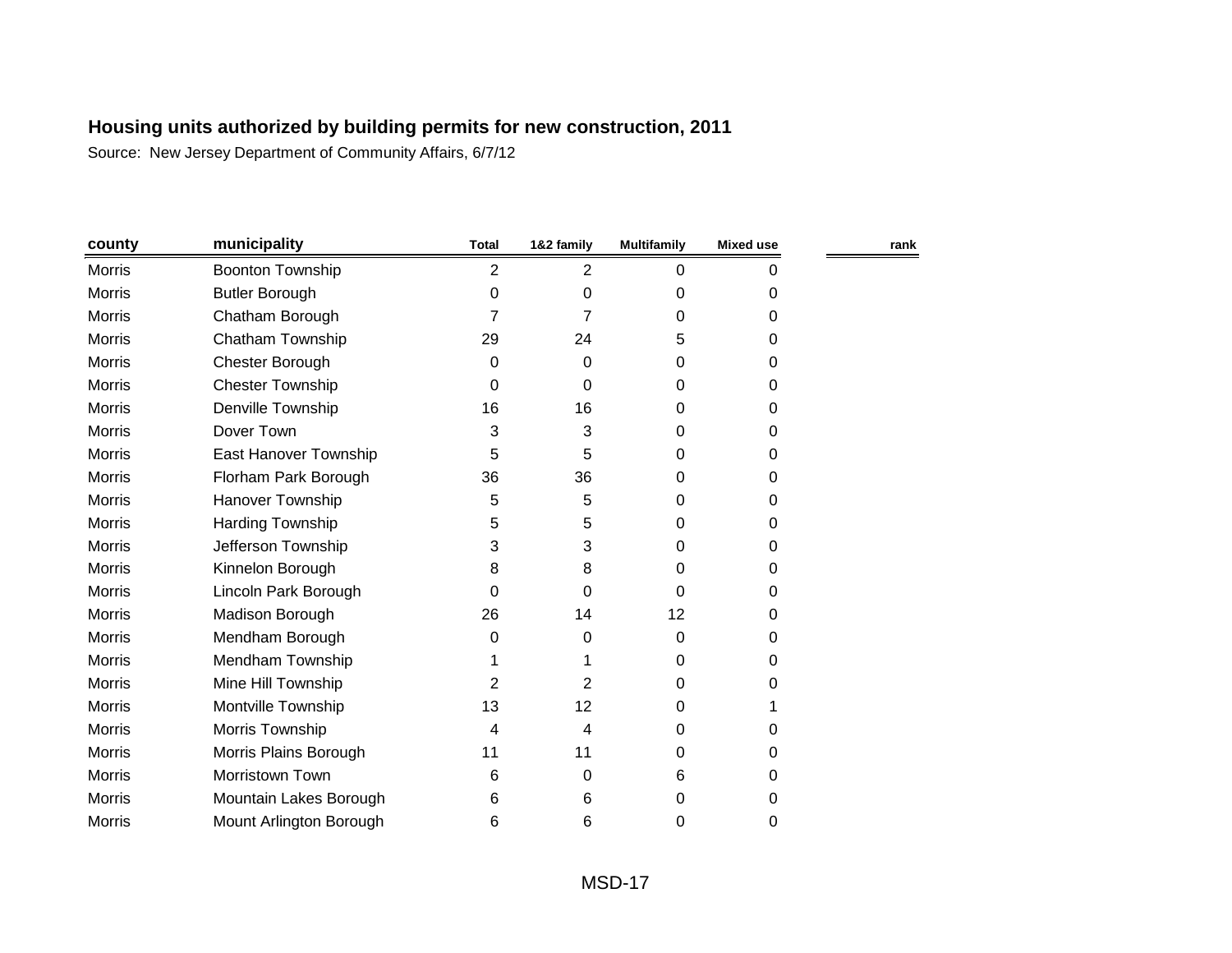| county        | municipality            | <b>Total</b>   | 1&2 family     | <b>Multifamily</b> | <b>Mixed use</b> | rank |
|---------------|-------------------------|----------------|----------------|--------------------|------------------|------|
| Morris        | <b>Boonton Township</b> | $\overline{2}$ | 2              | 0                  | 0                |      |
| Morris        | <b>Butler Borough</b>   | 0              | $\Omega$       | 0                  | 0                |      |
| Morris        | Chatham Borough         | 7              |                | 0                  | $\Omega$         |      |
| <b>Morris</b> | Chatham Township        | 29             | 24             | 5                  | $\Omega$         |      |
| Morris        | Chester Borough         | 0              | 0              | 0                  | 0                |      |
| <b>Morris</b> | <b>Chester Township</b> | 0              | 0              | 0                  | 0                |      |
| Morris        | Denville Township       | 16             | 16             | 0                  | 0                |      |
| <b>Morris</b> | Dover Town              | 3              | 3              | 0                  | 0                |      |
| Morris        | East Hanover Township   | 5              | 5              | 0                  | 0                |      |
| Morris        | Florham Park Borough    | 36             | 36             | 0                  | 0                |      |
| <b>Morris</b> | Hanover Township        | 5              | 5              | 0                  | $\Omega$         |      |
| Morris        | Harding Township        | 5              | 5              | 0                  | 0                |      |
| <b>Morris</b> | Jefferson Township      | 3              | 3              | 0                  | 0                |      |
| Morris        | Kinnelon Borough        | 8              | 8              | 0                  | 0                |      |
| <b>Morris</b> | Lincoln Park Borough    | 0              | 0              | 0                  | 0                |      |
| Morris        | Madison Borough         | 26             | 14             | 12                 | 0                |      |
| <b>Morris</b> | Mendham Borough         | 0              | 0              | 0                  | 0                |      |
| <b>Morris</b> | Mendham Township        |                |                | 0                  | $\Omega$         |      |
| <b>Morris</b> | Mine Hill Township      | 2              | $\overline{2}$ | 0                  | 0                |      |
| Morris        | Montville Township      | 13             | 12             | 0                  |                  |      |
| Morris        | Morris Township         | 4              | 4              | 0                  | 0                |      |
| <b>Morris</b> | Morris Plains Borough   | 11             | 11             | 0                  | 0                |      |
| <b>Morris</b> | Morristown Town         | 6              | 0              | 6                  | 0                |      |
| Morris        | Mountain Lakes Borough  | 6              | 6              | 0                  | 0                |      |
| <b>Morris</b> | Mount Arlington Borough | 6              | 6              | 0                  | 0                |      |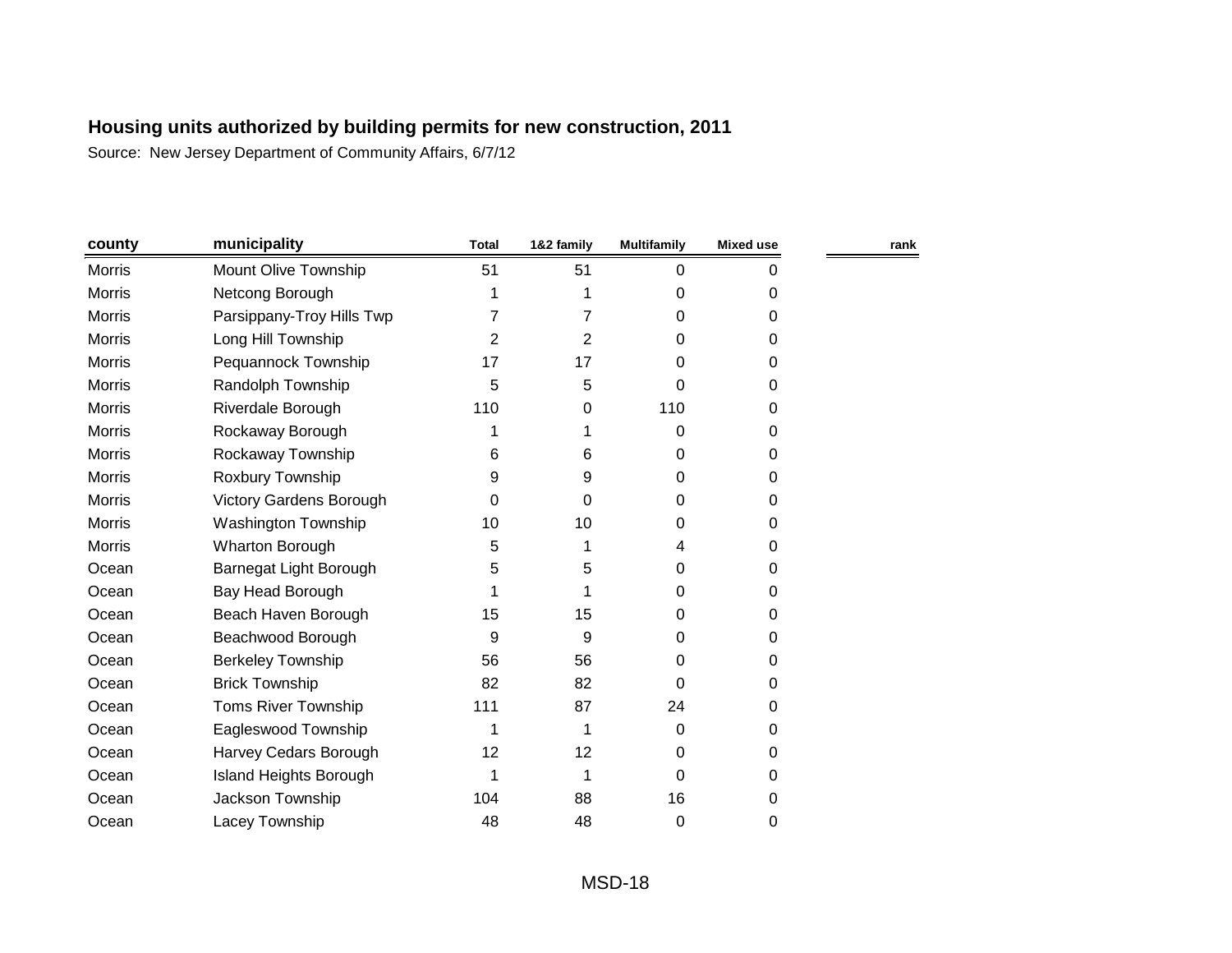| county        | municipality                   | <b>Total</b> | 1&2 family     | <b>Multifamily</b> | <b>Mixed use</b> | rank |
|---------------|--------------------------------|--------------|----------------|--------------------|------------------|------|
| <b>Morris</b> | Mount Olive Township           | 51           | 51             | 0                  | 0                |      |
| <b>Morris</b> | Netcong Borough                | 1            | 1              | 0                  | 0                |      |
| <b>Morris</b> | Parsippany-Troy Hills Twp      | 7            | 7              | 0                  | 0                |      |
| Morris        | Long Hill Township             | 2            | $\overline{2}$ | 0                  | 0                |      |
| <b>Morris</b> | Pequannock Township            | 17           | 17             | $\Omega$           | 0                |      |
| Morris        | Randolph Township              | 5            | 5              | 0                  | 0                |      |
| <b>Morris</b> | Riverdale Borough              | 110          | 0              | 110                | 0                |      |
| <b>Morris</b> | Rockaway Borough               | 1            |                | 0                  | 0                |      |
| <b>Morris</b> | Rockaway Township              | 6            | 6              | 0                  | 0                |      |
| <b>Morris</b> | Roxbury Township               | 9            | 9              | 0                  | 0                |      |
| Morris        | <b>Victory Gardens Borough</b> | 0            | 0              | 0                  | 0                |      |
| <b>Morris</b> | Washington Township            | 10           | 10             | 0                  | 0                |      |
| Morris        | Wharton Borough                | 5            | 1              | 4                  | 0                |      |
| Ocean         | Barnegat Light Borough         | 5            | 5              | 0                  | 0                |      |
| Ocean         | Bay Head Borough               |              | 1              | 0                  | 0                |      |
| Ocean         | Beach Haven Borough            | 15           | 15             | 0                  | 0                |      |
| Ocean         | Beachwood Borough              | 9            | 9              | 0                  | 0                |      |
| Ocean         | <b>Berkeley Township</b>       | 56           | 56             | 0                  | 0                |      |
| Ocean         | <b>Brick Township</b>          | 82           | 82             | 0                  | 0                |      |
| Ocean         | <b>Toms River Township</b>     | 111          | 87             | 24                 | 0                |      |
| Ocean         | Eagleswood Township            | 1            | 1              | 0                  | 0                |      |
| Ocean         | Harvey Cedars Borough          | 12           | 12             | 0                  | 0                |      |
| Ocean         | <b>Island Heights Borough</b>  | 1            | 1              | 0                  | 0                |      |
| Ocean         | Jackson Township               | 104          | 88             | 16                 | 0                |      |
| Ocean         | Lacey Township                 | 48           | 48             | 0                  | 0                |      |
|               |                                |              |                |                    |                  |      |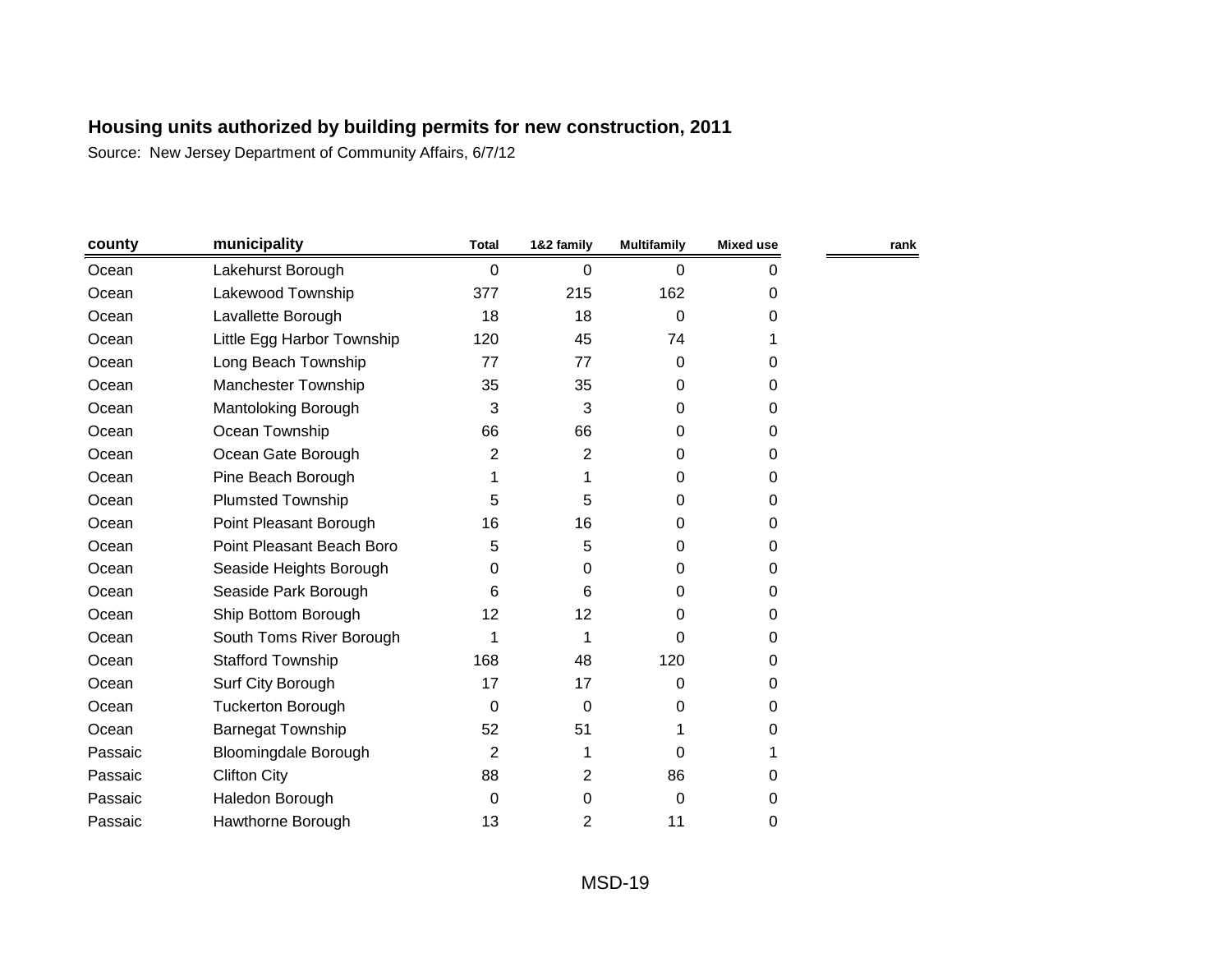| county  | municipality                | <b>Total</b>   | 1&2 family | <b>Multifamily</b> | Mixed use | rank |
|---------|-----------------------------|----------------|------------|--------------------|-----------|------|
| Ocean   | Lakehurst Borough           | 0              | 0          | 0                  | 0         |      |
| Ocean   | Lakewood Township           | 377            | 215        | 162                | 0         |      |
| Ocean   | Lavallette Borough          | 18             | 18         | 0                  | 0         |      |
| Ocean   | Little Egg Harbor Township  | 120            | 45         | 74                 |           |      |
| Ocean   | Long Beach Township         | 77             | 77         | $\Omega$           | 0         |      |
| Ocean   | <b>Manchester Township</b>  | 35             | 35         | $\mathbf 0$        | 0         |      |
| Ocean   | Mantoloking Borough         | 3              | 3          | 0                  | 0         |      |
| Ocean   | Ocean Township              | 66             | 66         | 0                  | 0         |      |
| Ocean   | Ocean Gate Borough          | 2              | 2          | 0                  | 0         |      |
| Ocean   | Pine Beach Borough          |                |            | 0                  | 0         |      |
| Ocean   | <b>Plumsted Township</b>    | 5              | 5          | $\Omega$           | 0         |      |
| Ocean   | Point Pleasant Borough      | 16             | 16         | $\Omega$           | 0         |      |
| Ocean   | Point Pleasant Beach Boro   | 5              | 5          | $\Omega$           | 0         |      |
| Ocean   | Seaside Heights Borough     | 0              | 0          | $\Omega$           | 0         |      |
| Ocean   | Seaside Park Borough        | 6              | 6          | $\Omega$           | $\Omega$  |      |
| Ocean   | Ship Bottom Borough         | 12             | 12         | 0                  | 0         |      |
| Ocean   | South Toms River Borough    | 1              |            | 0                  | 0         |      |
| Ocean   | <b>Stafford Township</b>    | 168            | 48         | 120                | 0         |      |
| Ocean   | Surf City Borough           | 17             | 17         | 0                  | 0         |      |
| Ocean   | <b>Tuckerton Borough</b>    | $\Omega$       | 0          | 0                  | 0         |      |
| Ocean   | <b>Barnegat Township</b>    | 52             | 51         | 1                  | 0         |      |
| Passaic | <b>Bloomingdale Borough</b> | $\overline{2}$ |            | $\Omega$           |           |      |
| Passaic | <b>Clifton City</b>         | 88             | 2          | 86                 | 0         |      |
| Passaic | Haledon Borough             | 0              | 0          | 0                  | 0         |      |
| Passaic | Hawthorne Borough           | 13             | 2          | 11                 | 0         |      |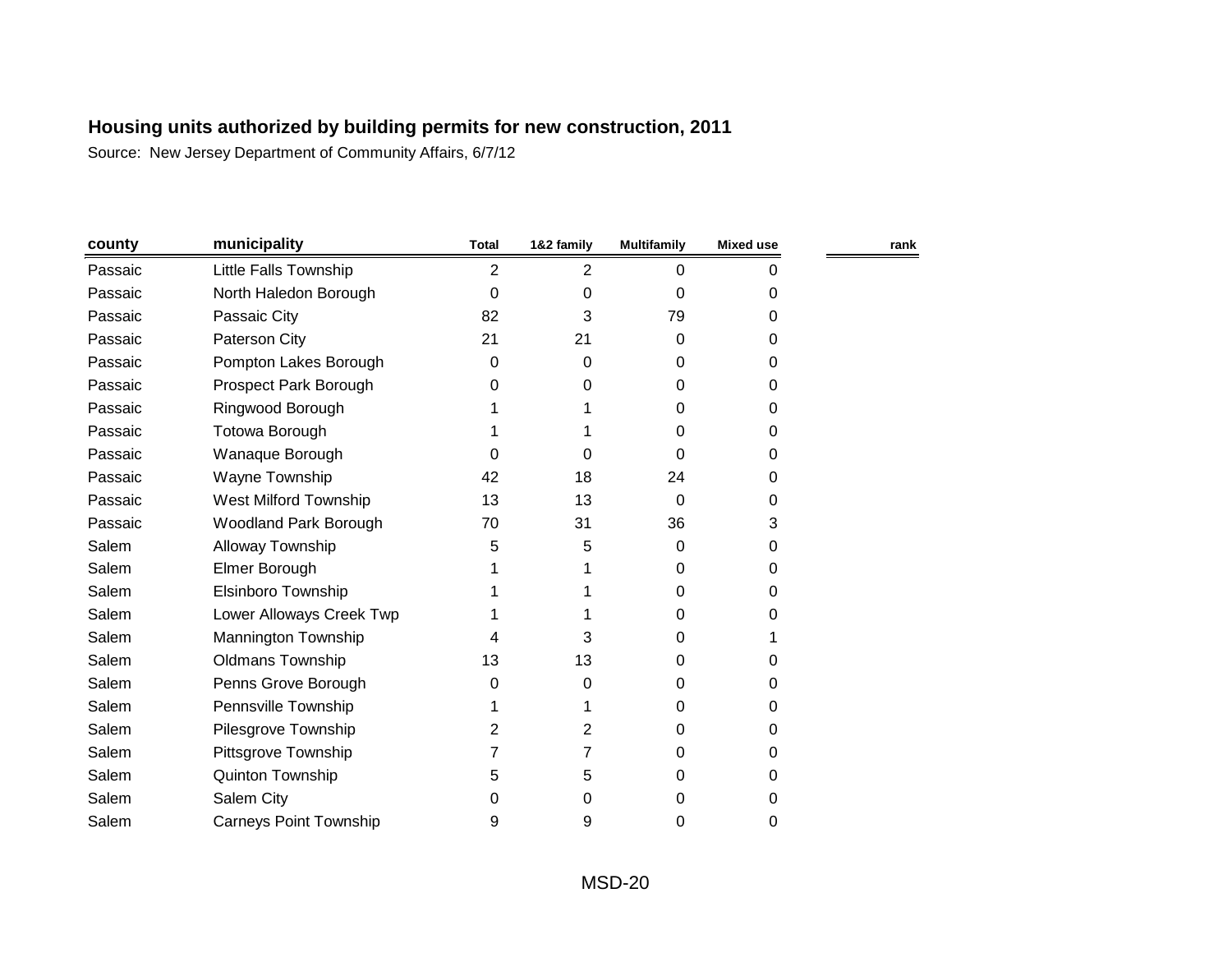| county  | municipality                  | <b>Total</b>   | 1&2 family | <b>Multifamily</b> | Mixed use | rank |
|---------|-------------------------------|----------------|------------|--------------------|-----------|------|
| Passaic | Little Falls Township         | $\overline{2}$ | 2          | 0                  | 0         |      |
| Passaic | North Haledon Borough         | $\Omega$       | 0          | 0                  | 0         |      |
| Passaic | Passaic City                  | 82             | 3          | 79                 | 0         |      |
| Passaic | Paterson City                 | 21             | 21         | 0                  | $\Omega$  |      |
| Passaic | Pompton Lakes Borough         | 0              | 0          | 0                  | 0         |      |
| Passaic | Prospect Park Borough         | 0              | 0          | 0                  | $\Omega$  |      |
| Passaic | Ringwood Borough              |                |            | 0                  | 0         |      |
| Passaic | Totowa Borough                |                |            | 0                  | $\Omega$  |      |
| Passaic | Wanaque Borough               | 0              | 0          | $\Omega$           | $\Omega$  |      |
| Passaic | Wayne Township                | 42             | 18         | 24                 | 0         |      |
| Passaic | West Milford Township         | 13             | 13         | $\Omega$           | 0         |      |
| Passaic | <b>Woodland Park Borough</b>  | 70             | 31         | 36                 | 3         |      |
| Salem   | Alloway Township              | 5              | 5          | 0                  | $\Omega$  |      |
| Salem   | Elmer Borough                 |                |            | 0                  | 0         |      |
| Salem   | Elsinboro Township            |                |            | 0                  | 0         |      |
| Salem   | Lower Alloways Creek Twp      |                |            | 0                  | 0         |      |
| Salem   | Mannington Township           |                | 3          | 0                  |           |      |
| Salem   | <b>Oldmans Township</b>       | 13             | 13         | 0                  | 0         |      |
| Salem   | Penns Grove Borough           | 0              | 0          | 0                  | 0         |      |
| Salem   | Pennsville Township           |                |            | 0                  | $\Omega$  |      |
| Salem   | Pilesgrove Township           | 2              | 2          | 0                  | 0         |      |
| Salem   | Pittsgrove Township           | 7              | 7          | 0                  | $\Omega$  |      |
| Salem   | Quinton Township              | 5              | 5          | 0                  | $\Omega$  |      |
| Salem   | Salem City                    | 0              | 0          | 0                  | 0         |      |
| Salem   | <b>Carneys Point Township</b> | 9              | 9          | 0                  | 0         |      |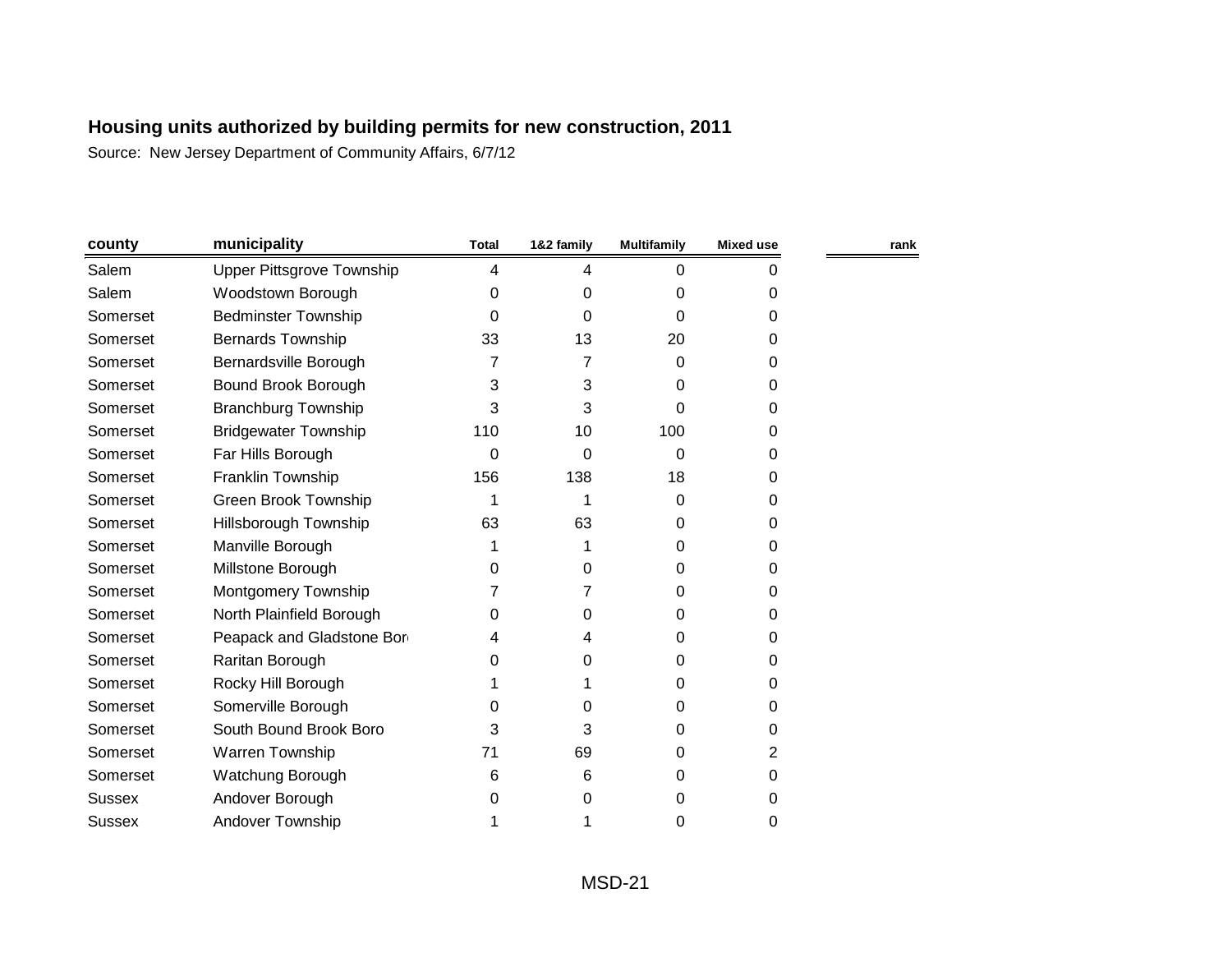| county        | municipality                     | <b>Total</b> | 1&2 family | <b>Multifamily</b> | <b>Mixed use</b> | rank |
|---------------|----------------------------------|--------------|------------|--------------------|------------------|------|
| Salem         | <b>Upper Pittsgrove Township</b> | 4            | 4          | 0                  | 0                |      |
| Salem         | Woodstown Borough                | 0            | 0          | 0                  | 0                |      |
| Somerset      | <b>Bedminster Township</b>       | 0            | 0          | 0                  | 0                |      |
| Somerset      | <b>Bernards Township</b>         | 33           | 13         | 20                 | 0                |      |
| Somerset      | Bernardsville Borough            |              | 7          | 0                  | 0                |      |
| Somerset      | Bound Brook Borough              | 3            | 3          | 0                  | 0                |      |
| Somerset      | <b>Branchburg Township</b>       | 3            | 3          | 0                  | 0                |      |
| Somerset      | <b>Bridgewater Township</b>      | 110          | 10         | 100                | 0                |      |
| Somerset      | Far Hills Borough                | 0            | 0          | 0                  | 0                |      |
| Somerset      | Franklin Township                | 156          | 138        | 18                 | 0                |      |
| Somerset      | Green Brook Township             | 1            | 1          | 0                  | 0                |      |
| Somerset      | Hillsborough Township            | 63           | 63         | 0                  | 0                |      |
| Somerset      | Manville Borough                 |              |            | 0                  | 0                |      |
| Somerset      | Millstone Borough                | 0            | 0          | 0                  | 0                |      |
| Somerset      | Montgomery Township              |              | 7          | 0                  | $\Omega$         |      |
| Somerset      | North Plainfield Borough         | 0            | 0          | 0                  | 0                |      |
| Somerset      | Peapack and Gladstone Bor        | 4            | 4          | 0                  | 0                |      |
| Somerset      | Raritan Borough                  | 0            | 0          | 0                  | 0                |      |
| Somerset      | Rocky Hill Borough               |              |            | 0                  | $\Omega$         |      |
| Somerset      | Somerville Borough               | 0            | 0          | 0                  | 0                |      |
| Somerset      | South Bound Brook Boro           | 3            | 3          | 0                  | 0                |      |
| Somerset      | Warren Township                  | 71           | 69         | 0                  | 2                |      |
| Somerset      | Watchung Borough                 | 6            | 6          | 0                  | 0                |      |
| <b>Sussex</b> | Andover Borough                  | 0            | 0          | 0                  | 0                |      |
| <b>Sussex</b> | <b>Andover Township</b>          |              |            | 0                  | 0                |      |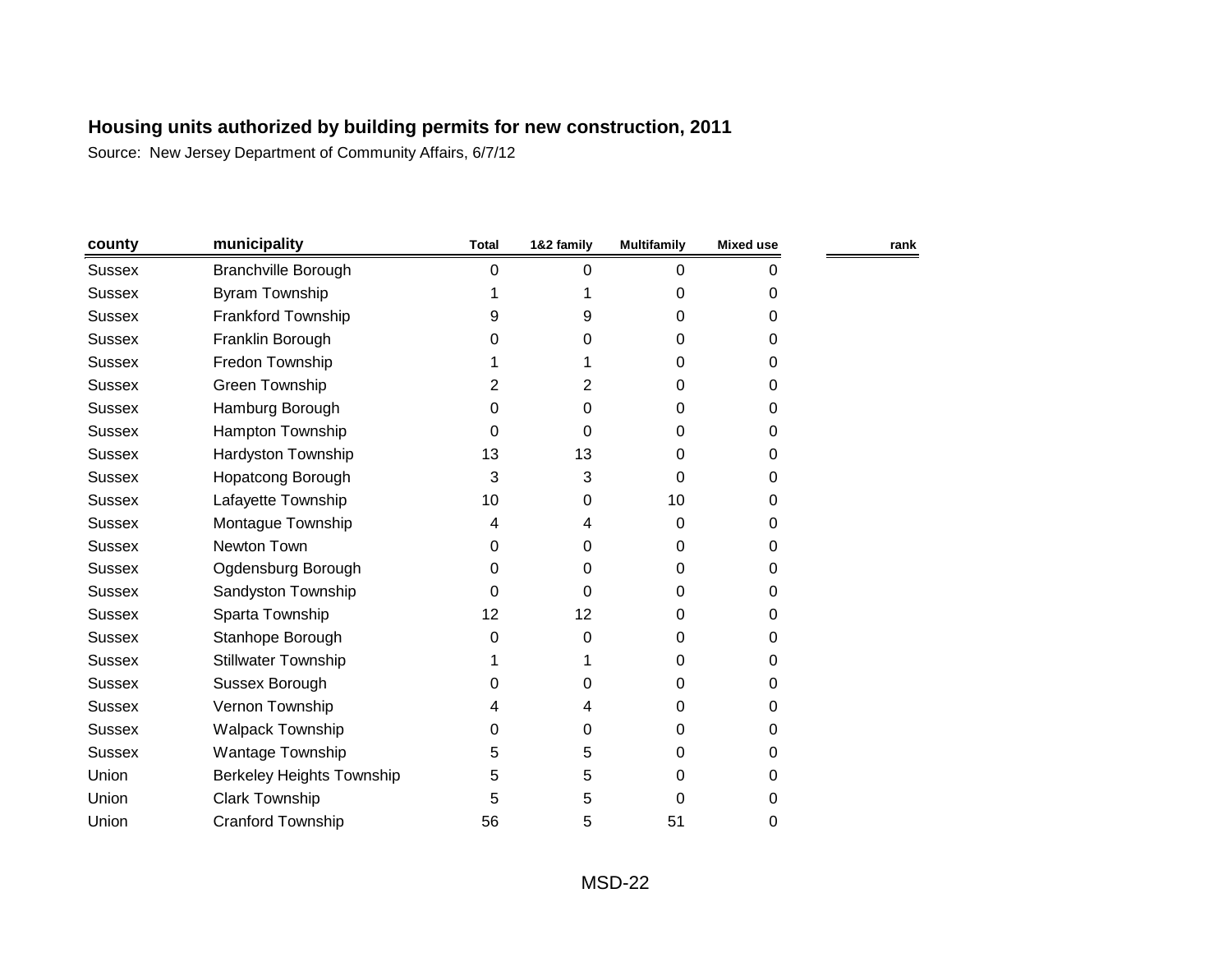| county        | municipality                     | <b>Total</b> | 1&2 family | <b>Multifamily</b> | <b>Mixed use</b> | rank |
|---------------|----------------------------------|--------------|------------|--------------------|------------------|------|
| <b>Sussex</b> | <b>Branchville Borough</b>       | 0            | 0          | 0                  | 0                |      |
| <b>Sussex</b> | Byram Township                   |              |            | 0                  | 0                |      |
| <b>Sussex</b> | Frankford Township               | 9            | 9          | 0                  | 0                |      |
| <b>Sussex</b> | Franklin Borough                 | 0            | 0          | 0                  | $\Omega$         |      |
| <b>Sussex</b> | Fredon Township                  |              |            | 0                  | 0                |      |
| <b>Sussex</b> | Green Township                   | 2            | 2          | 0                  | 0                |      |
| <b>Sussex</b> | Hamburg Borough                  | 0            | 0          | 0                  | 0                |      |
| <b>Sussex</b> | Hampton Township                 | 0            | 0          | 0                  | 0                |      |
| <b>Sussex</b> | Hardyston Township               | 13           | 13         | 0                  | 0                |      |
| <b>Sussex</b> | Hopatcong Borough                | 3            | 3          | 0                  | 0                |      |
| <b>Sussex</b> | Lafayette Township               | 10           | 0          | 10                 | 0                |      |
| <b>Sussex</b> | Montague Township                | 4            | 4          | 0                  | 0                |      |
| <b>Sussex</b> | Newton Town                      | 0            | 0          | 0                  | $\Omega$         |      |
| <b>Sussex</b> | Ogdensburg Borough               | 0            | 0          | 0                  | 0                |      |
| <b>Sussex</b> | Sandyston Township               | 0            | 0          | 0                  | 0                |      |
| <b>Sussex</b> | Sparta Township                  | 12           | 12         | 0                  | 0                |      |
| <b>Sussex</b> | Stanhope Borough                 | 0            | 0          | 0                  | 0                |      |
| <b>Sussex</b> | <b>Stillwater Township</b>       |              |            | 0                  | 0                |      |
| <b>Sussex</b> | Sussex Borough                   | 0            | 0          | 0                  | 0                |      |
| <b>Sussex</b> | Vernon Township                  | 4            | 4          | 0                  | 0                |      |
| <b>Sussex</b> | <b>Walpack Township</b>          | 0            | 0          | 0                  | 0                |      |
| <b>Sussex</b> | Wantage Township                 | 5            | 5          | 0                  | $\Omega$         |      |
| Union         | <b>Berkeley Heights Township</b> | 5            | 5          | 0                  | 0                |      |
| Union         | Clark Township                   | 5            | 5          | 0                  | 0                |      |
| Union         | <b>Cranford Township</b>         | 56           | 5          | 51                 | 0                |      |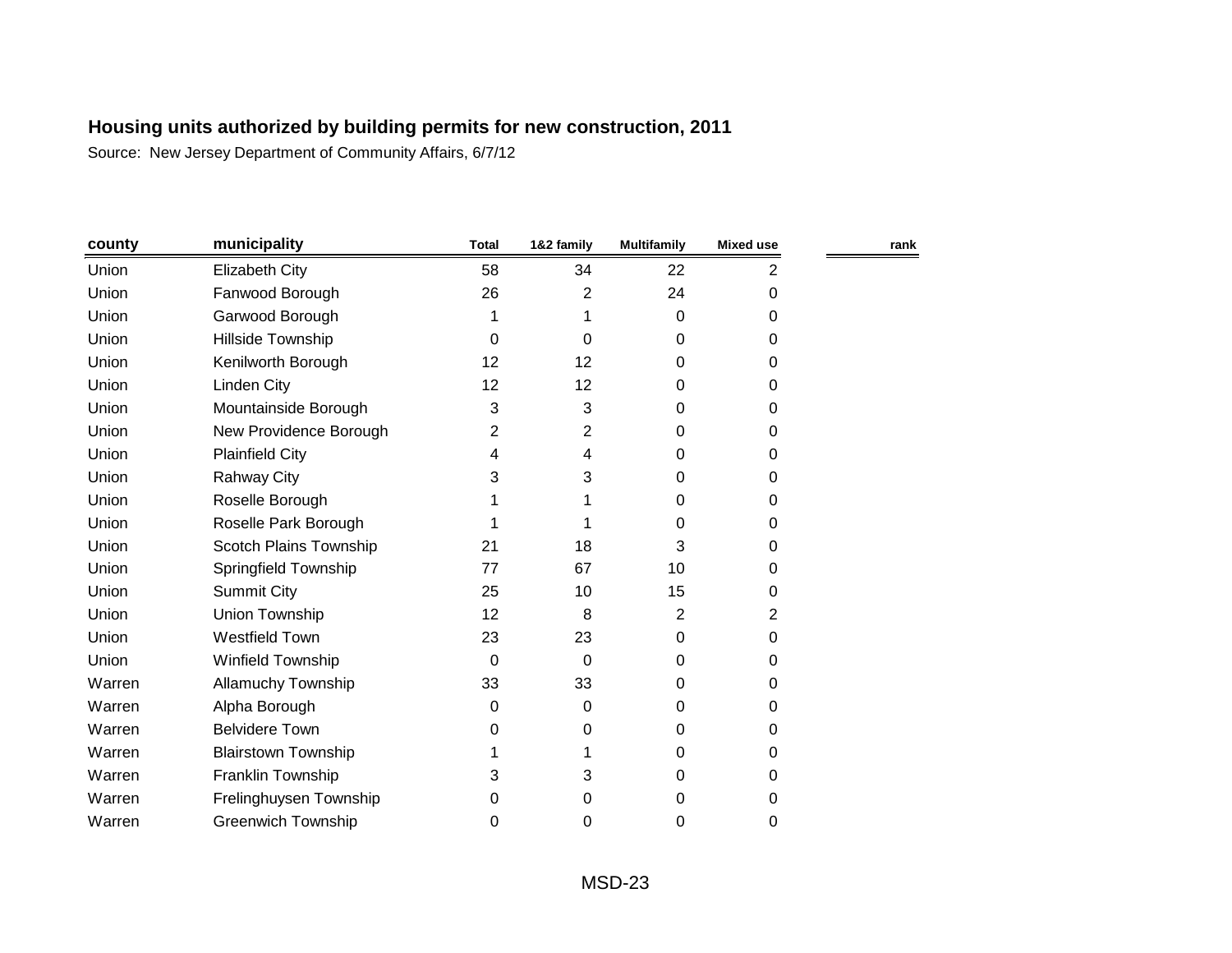| county | municipality               | <b>Total</b> | 1&2 family | <b>Multifamily</b> | <b>Mixed use</b> | rank |
|--------|----------------------------|--------------|------------|--------------------|------------------|------|
| Union  | Elizabeth City             | 58           | 34         | 22                 | 2                |      |
| Union  | Fanwood Borough            | 26           | 2          | 24                 | 0                |      |
| Union  | Garwood Borough            | 1            |            | 0                  | 0                |      |
| Union  | Hillside Township          | 0            | 0          | 0                  | 0                |      |
| Union  | Kenilworth Borough         | 12           | 12         | 0                  | 0                |      |
| Union  | <b>Linden City</b>         | 12           | 12         | 0                  | 0                |      |
| Union  | Mountainside Borough       | 3            | 3          | 0                  | 0                |      |
| Union  | New Providence Borough     | 2            | 2          | 0                  | $\Omega$         |      |
| Union  | <b>Plainfield City</b>     | 4            | 4          | 0                  | 0                |      |
| Union  | <b>Rahway City</b>         | 3            | 3          | 0                  | 0                |      |
| Union  | Roselle Borough            |              |            | 0                  | 0                |      |
| Union  | Roselle Park Borough       |              |            | 0                  | 0                |      |
| Union  | Scotch Plains Township     | 21           | 18         | 3                  | 0                |      |
| Union  | Springfield Township       | 77           | 67         | 10                 | 0                |      |
| Union  | <b>Summit City</b>         | 25           | 10         | 15                 | 0                |      |
| Union  | Union Township             | 12           | 8          | $\overline{2}$     | $\overline{2}$   |      |
| Union  | <b>Westfield Town</b>      | 23           | 23         | 0                  | 0                |      |
| Union  | Winfield Township          | 0            | 0          | 0                  | 0                |      |
| Warren | <b>Allamuchy Township</b>  | 33           | 33         | 0                  | 0                |      |
| Warren | Alpha Borough              | 0            | 0          | 0                  | 0                |      |
| Warren | <b>Belvidere Town</b>      | 0            | 0          | 0                  | 0                |      |
| Warren | <b>Blairstown Township</b> |              |            | 0                  | 0                |      |
| Warren | Franklin Township          | 3            | 3          | 0                  | 0                |      |
| Warren | Frelinghuysen Township     | 0            | 0          | 0                  | 0                |      |
| Warren | <b>Greenwich Township</b>  | 0            | 0          | 0                  | 0                |      |